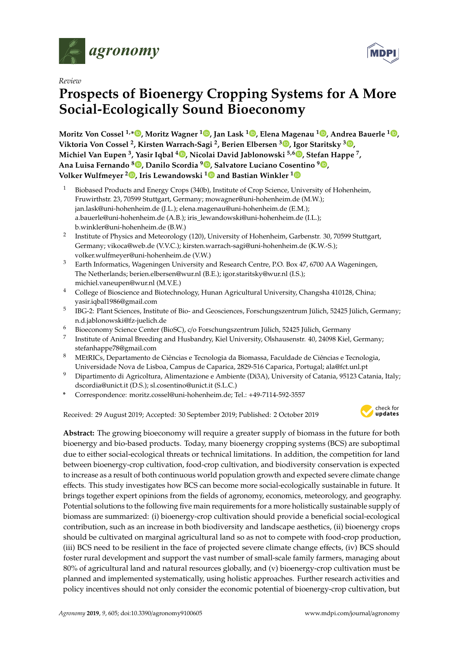

*Review*

# **Prospects of Bioenergy Cropping Systems for A More Social-Ecologically Sound Bioeconomy**

**Moritz Von Cossel 1,\* , Moritz Wagner <sup>1</sup> , Jan Lask <sup>1</sup> , Elena Magenau <sup>1</sup> , Andrea Bauerle <sup>1</sup> , Viktoria Von Cossel <sup>2</sup> , Kirsten Warrach-Sagi <sup>2</sup> , Berien Elbersen <sup>3</sup> , Igor Staritsky <sup>3</sup> , Michiel Van Eupen <sup>3</sup> , Yasir Iqbal <sup>4</sup> , Nicolai David Jablonowski 5,6 , Stefan Happe <sup>7</sup> , Ana Luisa Fernando <sup>8</sup> , Danilo Scordia <sup>9</sup> , Salvatore Luciano Cosentino <sup>9</sup> , Volker Wulfmeyer <sup>2</sup> , Iris Lewandowski <sup>1</sup> and Bastian Winkler <sup>1</sup>**

- <sup>1</sup> Biobased Products and Energy Crops (340b), Institute of Crop Science, University of Hohenheim, Fruwirthstr. 23, 70599 Stuttgart, Germany; mowagner@uni-hohenheim.de (M.W.); jan.lask@uni-hohenheim.de (J.L.); elena.magenau@uni-hohenheim.de (E.M.); a.bauerle@uni-hohenheim.de (A.B.); iris\_lewandowski@uni-hohenheim.de (I.L.); b.winkler@uni-hohenheim.de (B.W.)
- 2 Institute of Physics and Meteorology (120), University of Hohenheim, Garbenstr. 30, 70599 Stuttgart, Germany; vikoca@web.de (V.V.C.); kirsten.warrach-sagi@uni-hohenheim.de (K.W.-S.); volker.wulfmeyer@uni-hohenheim.de (V.W.)
- <sup>3</sup> Earth Informatics, Wageningen University and Research Centre, P.O. Box 47, 6700 AA Wageningen, The Netherlands; berien.elbersen@wur.nl (B.E.); igor.staritsky@wur.nl (I.S.); michiel.vaneupen@wur.nl (M.V.E.)
- <sup>4</sup> College of Bioscience and Biotechnology, Hunan Agricultural University, Changsha 410128, China; yasir.iqbal1986@gmail.com
- 5 IBG-2: Plant Sciences, Institute of Bio- and Geosciences, Forschungszentrum Jülich, 52425 Jülich, Germany; n.d.jablonowski@fz-juelich.de
- <sup>6</sup> Bioeconomy Science Center (BioSC), c/o Forschungszentrum Jülich, 52425 Jülich, Germany
- 7 Institute of Animal Breeding and Husbandry, Kiel University, Olshausenstr. 40, 24098 Kiel, Germany; stefanhappe78@gmail.com
- <sup>8</sup> MEtRICs, Departamento de Ciências e Tecnologia da Biomassa, Faculdade de Ciências e Tecnologia, Universidade Nova de Lisboa, Campus de Caparica, 2829-516 Caparica, Portugal; ala@fct.unl.pt
- <sup>9</sup> Dipartimento di Agricoltura, Alimentazione e Ambiente (Di3A), University of Catania, 95123 Catania, Italy; dscordia@unict.it (D.S.); sl.cosentino@unict.it (S.L.C.)
- **\*** Correspondence: moritz.cossel@uni-hohenheim.de; Tel.: +49-7114-592-3557

Received: 29 August 2019; Accepted: 30 September 2019; Published: 2 October 2019



**MDPI** 

**Abstract:** The growing bioeconomy will require a greater supply of biomass in the future for both bioenergy and bio-based products. Today, many bioenergy cropping systems (BCS) are suboptimal due to either social-ecological threats or technical limitations. In addition, the competition for land between bioenergy-crop cultivation, food-crop cultivation, and biodiversity conservation is expected to increase as a result of both continuous world population growth and expected severe climate change effects. This study investigates how BCS can become more social-ecologically sustainable in future. It brings together expert opinions from the fields of agronomy, economics, meteorology, and geography. Potential solutions to the following five main requirements for a more holistically sustainable supply of biomass are summarized: (i) bioenergy-crop cultivation should provide a beneficial social-ecological contribution, such as an increase in both biodiversity and landscape aesthetics, (ii) bioenergy crops should be cultivated on marginal agricultural land so as not to compete with food-crop production, (iii) BCS need to be resilient in the face of projected severe climate change effects, (iv) BCS should foster rural development and support the vast number of small-scale family farmers, managing about 80% of agricultural land and natural resources globally, and (v) bioenergy-crop cultivation must be planned and implemented systematically, using holistic approaches. Further research activities and policy incentives should not only consider the economic potential of bioenergy-crop cultivation, but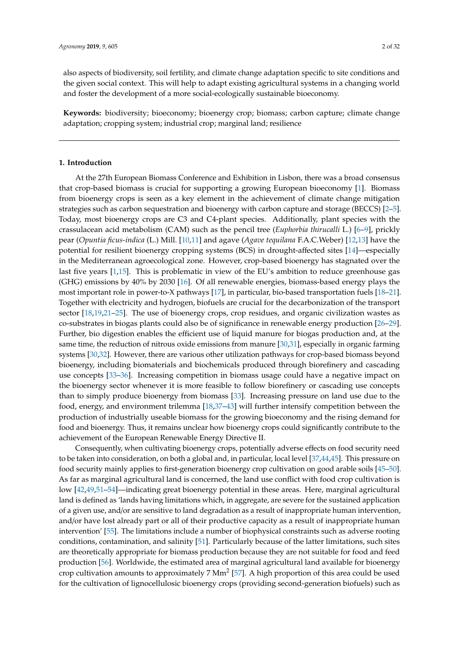also aspects of biodiversity, soil fertility, and climate change adaptation specific to site conditions and the given social context. This will help to adapt existing agricultural systems in a changing world and foster the development of a more social-ecologically sustainable bioeconomy.

**Keywords:** biodiversity; bioeconomy; bioenergy crop; biomass; carbon capture; climate change adaptation; cropping system; industrial crop; marginal land; resilience

# **1. Introduction**

At the 27th European Biomass Conference and Exhibition in Lisbon, there was a broad consensus that crop-based biomass is crucial for supporting a growing European bioeconomy [1]. Biomass from bioenergy crops is seen as a key element in the achievement of climate change mitigation strategies such as carbon sequestration and bioenergy with carbon capture and storage (BECCS) [2–5]. Today, most bioenergy crops are C3 and C4-plant species. Additionally, plant species with the crassulacean acid metabolism (CAM) such as the pencil tree (*Euphorbia thirucalli* L.) [6–9], prickly pear (*Opuntia ficus-indica* (L.) Mill. [10,11] and agave (*Agave tequilana* F.A.C.Weber) [12,13] have the potential for resilient bioenergy cropping systems (BCS) in drought-affected sites [14]—especially in the Mediterranean agroecological zone. However, crop-based bioenergy has stagnated over the last five years [1,15]. This is problematic in view of the EU's ambition to reduce greenhouse gas (GHG) emissions by 40% by 2030 [16]. Of all renewable energies, biomass-based energy plays the most important role in power-to-X pathways [17], in particular, bio-based transportation fuels [18–21]. Together with electricity and hydrogen, biofuels are crucial for the decarbonization of the transport sector [18,19,21–25]. The use of bioenergy crops, crop residues, and organic civilization wastes as co-substrates in biogas plants could also be of significance in renewable energy production [26–29]. Further, bio digestion enables the efficient use of liquid manure for biogas production and, at the same time, the reduction of nitrous oxide emissions from manure [30,31], especially in organic farming systems [30,32]. However, there are various other utilization pathways for crop-based biomass beyond bioenergy, including biomaterials and biochemicals produced through biorefinery and cascading use concepts [33–36]. Increasing competition in biomass usage could have a negative impact on the bioenergy sector whenever it is more feasible to follow biorefinery or cascading use concepts than to simply produce bioenergy from biomass [33]. Increasing pressure on land use due to the food, energy, and environment trilemma [18,37–43] will further intensify competition between the production of industrially useable biomass for the growing bioeconomy and the rising demand for food and bioenergy. Thus, it remains unclear how bioenergy crops could significantly contribute to the achievement of the European Renewable Energy Directive II.

Consequently, when cultivating bioenergy crops, potentially adverse effects on food security need to be taken into consideration, on both a global and, in particular, local level [37,44,45]. This pressure on food security mainly applies to first-generation bioenergy crop cultivation on good arable soils [45–50]. As far as marginal agricultural land is concerned, the land use conflict with food crop cultivation is low [42,49,51–54]—indicating great bioenergy potential in these areas. Here, marginal agricultural land is defined as 'lands having limitations which, in aggregate, are severe for the sustained application of a given use, and/or are sensitive to land degradation as a result of inappropriate human intervention, and/or have lost already part or all of their productive capacity as a result of inappropriate human intervention' [55]. The limitations include a number of biophysical constraints such as adverse rooting conditions, contamination, and salinity [51]. Particularly because of the latter limitations, such sites are theoretically appropriate for biomass production because they are not suitable for food and feed production [56]. Worldwide, the estimated area of marginal agricultural land available for bioenergy crop cultivation amounts to approximately 7  $Mm^2$  [57]. A high proportion of this area could be used for the cultivation of lignocellulosic bioenergy crops (providing second-generation biofuels) such as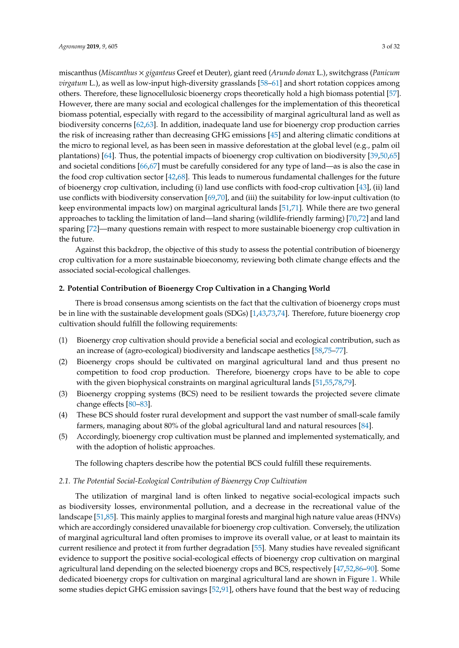miscanthus (*Miscanthus* × *giganteus* Greef et Deuter), giant reed (*Arundo donax* L.), switchgrass (*Panicum virgatum* L.), as well as low-input high-diversity grasslands [58–61] and short rotation coppices among others. Therefore, these lignocellulosic bioenergy crops theoretically hold a high biomass potential [57]. However, there are many social and ecological challenges for the implementation of this theoretical biomass potential, especially with regard to the accessibility of marginal agricultural land as well as biodiversity concerns [62,63]. In addition, inadequate land use for bioenergy crop production carries the risk of increasing rather than decreasing GHG emissions [45] and altering climatic conditions at the micro to regional level, as has been seen in massive deforestation at the global level (e.g., palm oil plantations) [64]. Thus, the potential impacts of bioenergy crop cultivation on biodiversity [39,50,65] and societal conditions [66,67] must be carefully considered for any type of land—as is also the case in the food crop cultivation sector [42,68]. This leads to numerous fundamental challenges for the future of bioenergy crop cultivation, including (i) land use conflicts with food-crop cultivation [43], (ii) land use conflicts with biodiversity conservation [69,70], and (iii) the suitability for low-input cultivation (to keep environmental impacts low) on marginal agricultural lands [51,71]. While there are two general approaches to tackling the limitation of land—land sharing (wildlife-friendly farming) [70,72] and land sparing [72]—many questions remain with respect to more sustainable bioenergy crop cultivation in the future.

Against this backdrop, the objective of this study to assess the potential contribution of bioenergy crop cultivation for a more sustainable bioeconomy, reviewing both climate change effects and the associated social-ecological challenges.

#### **2. Potential Contribution of Bioenergy Crop Cultivation in a Changing World**

There is broad consensus among scientists on the fact that the cultivation of bioenergy crops must be in line with the sustainable development goals (SDGs) [1,43,73,74]. Therefore, future bioenergy crop cultivation should fulfill the following requirements:

- (1) Bioenergy crop cultivation should provide a beneficial social and ecological contribution, such as an increase of (agro-ecological) biodiversity and landscape aesthetics [58,75–77].
- (2) Bioenergy crops should be cultivated on marginal agricultural land and thus present no competition to food crop production. Therefore, bioenergy crops have to be able to cope with the given biophysical constraints on marginal agricultural lands [51,55,78,79].
- (3) Bioenergy cropping systems (BCS) need to be resilient towards the projected severe climate change effects [80–83].
- (4) These BCS should foster rural development and support the vast number of small-scale family farmers, managing about 80% of the global agricultural land and natural resources [84].
- (5) Accordingly, bioenergy crop cultivation must be planned and implemented systematically, and with the adoption of holistic approaches.

The following chapters describe how the potential BCS could fulfill these requirements.

#### *2.1. The Potential Social-Ecological Contribution of Bioenergy Crop Cultivation*

The utilization of marginal land is often linked to negative social-ecological impacts such as biodiversity losses, environmental pollution, and a decrease in the recreational value of the landscape [51,85]. This mainly applies to marginal forests and marginal high nature value areas (HNVs) which are accordingly considered unavailable for bioenergy crop cultivation. Conversely, the utilization of marginal agricultural land often promises to improve its overall value, or at least to maintain its current resilience and protect it from further degradation [55]. Many studies have revealed significant evidence to support the positive social-ecological effects of bioenergy crop cultivation on marginal agricultural land depending on the selected bioenergy crops and BCS, respectively [47,52,86–90]. Some dedicated bioenergy crops for cultivation on marginal agricultural land are shown in Figure 1. While some studies depict GHG emission savings [52,91], others have found that the best way of reducing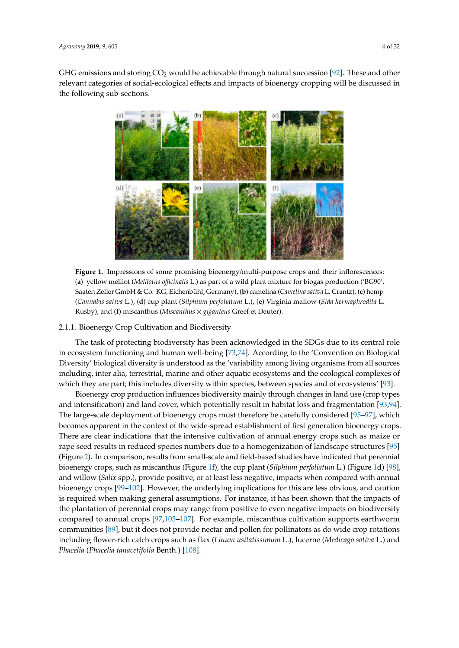GHG emissions and storing  $CO<sub>2</sub>$  would be achievable through natural succession [92]. These and other relevant categories of social-ecological effects and impacts of bioenergy cropping will be discussed in the following sub-sections.



Figure 1. Impressions of some promising bioenergy/multi-purpose crops and their inflorescences: (**a**) yellow melilot (*Melilotus o*ffi*cinalis* L.) as part of a wild plant mixture for biogas production ('BG90', Saaten Zeller GmbH & Co. KG, Eichenbühl, Germany), (**b**) camelina (*Camelina sativa* L. Crantz), (**c**) hemp (*Cannabis sativa* L.), (**d**) cup plant (*Silphium perfoliatum* L.), (**e**) Virginia mallow (*Sida hermaphrodita* L. Rusby), and (**f**) miscanthus (*Miscanthus* × *giganteus* Greef et Deuter).

# 2.1.1. Bioenergy Crop Cultivation and Biodiversity

The task of protecting biodiversity has been acknowledged in the SDGs due to its central role in ecosystem functioning and human well-being [73,74]. According to the 'Convention on Biological Diversity' biological diversity is understood as the 'variability among living organisms from all sources including, inter alia, terrestrial, marine and other aquatic ecosystems and the ecological complexes of which they are part; this includes diversity within species, between species and of ecosystems' [93].

Bioenergy crop production influences biodiversity mainly through changes in land use (crop types and intensification) and land cover, which potentially result in habitat loss and fragmentation [93,94]. The large-scale deployment of bioenergy crops must therefore be carefully considered [95–97], which becomes apparent in the context of the wide-spread establishment of first generation bioenergy crops. There are clear indications that the intensive cultivation of annual energy crops such as maize or rape seed results in reduced species numbers due to a homogenization of landscape structures [95] (Figure 2). In comparison, results from small-scale and field-based studies have indicated that perennial bioenergy crops, such as miscanthus (Figure 1f), the cup plant (*Silphium perfoliatum* L.) (Figure 1d) [98], and willow (*Salix* spp.), provide positive, or at least less negative, impacts when compared with annual bioenergy crops [99–102]. However, the underlying implications for this are less obvious, and caution is required when making general assumptions. For instance, it has been shown that the impacts of the plantation of perennial crops may range from positive to even negative impacts on biodiversity compared to annual crops [97,103–107]. For example, miscanthus cultivation supports earthworm communities [89], but it does not provide nectar and pollen for pollinators as do wide crop rotations including flower-rich catch crops such as flax (*Linum usitatissimum* L.), lucerne (*Medicago sativa* L.) and *Phacelia* (*Phacelia tanacetifolia* Benth.) [108].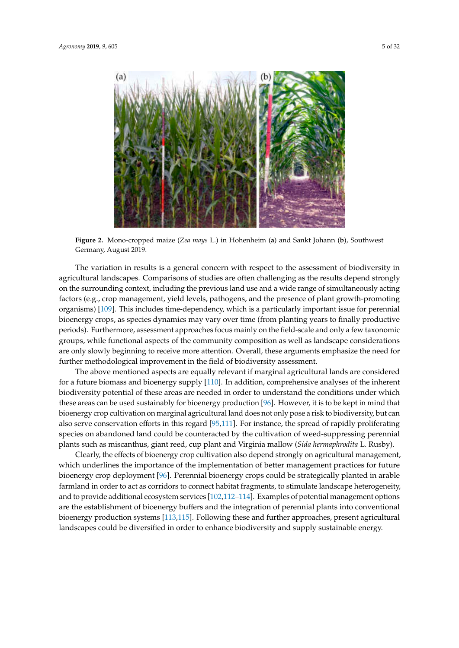

**Figure 2.** Mono-cropped maize (*Zea mays* L.) in Hohenheim (**a**) and Sankt Johann (**b**), Southwest Germany, August 2019.

The variation in results is a general concern with respect to the assessment of biodiversity in agricultural landscapes. Comparisons of studies are often challenging as the results depend strongly on the surrounding context, including the previous land use and a wide range of simultaneously acting factors (e.g., crop management, yield levels, pathogens, and the presence of plant growth-promoting organisms) [109]. This includes time-dependency, which is a particularly important issue for perennial bioenergy crops, as species dynamics may vary over time (from planting years to finally productive periods). Furthermore, assessment approaches focus mainly on the field-scale and only a few taxonomic groups, while functional aspects of the community composition as well as landscape considerations are only slowly beginning to receive more attention. Overall, these arguments emphasize the need for further methodological improvement in the field of biodiversity assessment.

The above mentioned aspects are equally relevant if marginal agricultural lands are considered for a future biomass and bioenergy supply [110]. In addition, comprehensive analyses of the inherent biodiversity potential of these areas are needed in order to understand the conditions under which these areas can be used sustainably for bioenergy production [96]. However, it is to be kept in mind that bioenergy crop cultivation on marginal agricultural land does not only pose a risk to biodiversity, but can also serve conservation efforts in this regard [95,111]. For instance, the spread of rapidly proliferating species on abandoned land could be counteracted by the cultivation of weed-suppressing perennial plants such as miscanthus, giant reed, cup plant and Virginia mallow (*Sida hermaphrodita* L. Rusby).

Clearly, the effects of bioenergy crop cultivation also depend strongly on agricultural management, which underlines the importance of the implementation of better management practices for future bioenergy crop deployment [96]. Perennial bioenergy crops could be strategically planted in arable farmland in order to act as corridors to connect habitat fragments, to stimulate landscape heterogeneity, and to provide additional ecosystem services [102,112–114]. Examples of potential management options are the establishment of bioenergy buffers and the integration of perennial plants into conventional bioenergy production systems [113,115]. Following these and further approaches, present agricultural landscapes could be diversified in order to enhance biodiversity and supply sustainable energy.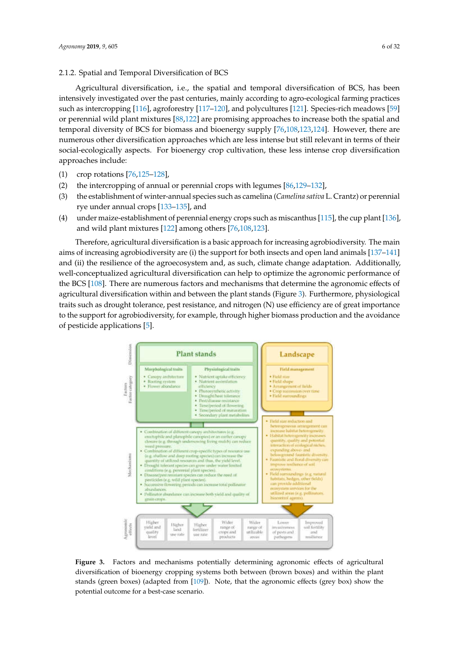#### 2.1.2. Spatial and Temporal Diversification of BCS

Agricultural diversification, i.e., the spatial and temporal diversification of BCS, has been intensively investigated over the past centuries, mainly according to agro-ecological farming practices such as intercropping [116], agroforestry [117–120], and polycultures [121]. Species-rich meadows [59] or perennial wild plant mixtures [88,122] are promising approaches to increase both the spatial and temporal diversity of BCS for biomass and bioenergy supply [76,108,123,124]. However, there are numerous other diversification approaches which are less intense but still relevant in terms of their social-ecologically aspects. For bioenergy crop cultivation, these less intense crop diversification approaches include:

- (1) crop rotations [76,125–128],
- (2) the intercropping of annual or perennial crops with legumes [86,129–132],
- (3) the establishment of winter-annual species such as camelina (*Camelina sativa* L. Crantz) or perennial rye under annual crops [133–135], and
- (4) under maize-establishment of perennial energy crops such as miscanthus [115], the cup plant [136], and wild plant mixtures [122] among others [76,108,123].

Therefore, agricultural diversification is a basic approach for increasing agrobiodiversity. The main aims of increasing agrobiodiversity are (i) the support for both insects and open land animals [137–141] and (ii) the resilience of the agroecosystem and, as such, climate change adaptation. Additionally, well-conceptualized agricultural diversification can help to optimize the agronomic performance of the BCS [108]. There are numerous factors and mechanisms that determine the agronomic effects of agricultural diversification within and between the plant stands (Figure 3). Furthermore, physiological traits such as drought tolerance, pest resistance, and nitrogen (N) use efficiency are of great importance to the support for agrobiodiversity, for example, through higher biomass production and the avoidance of pesticide applications [5].



**Figure 3.** Factors and mechanisms potentially determining agronomic effects of agricultural diversification of bioenergy cropping systems both between (brown boxes) and within the plant stands (green boxes) (adapted from [109]). Note, that the agronomic effects (grey box) show the potential outcome for a best-case scenario.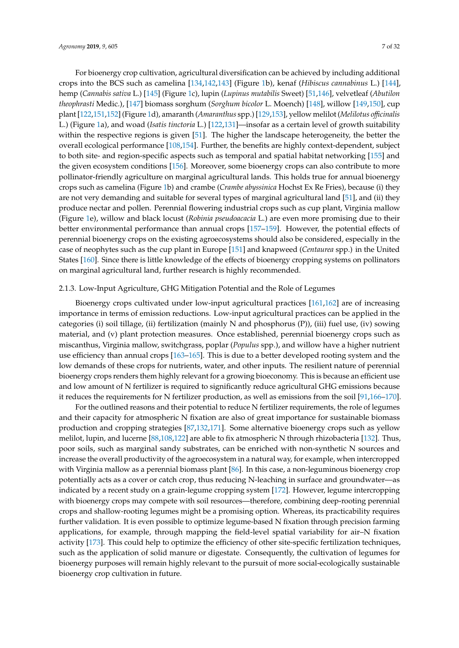For bioenergy crop cultivation, agricultural diversification can be achieved by including additional crops into the BCS such as camelina [134,142,143] (Figure 1b), kenaf (*Hibiscus cannabinus* L.) [144], hemp (*Cannabis sativa* L.) [145] (Figure 1c), lupin (*Lupinus mutabilis* Sweet) [51,146], velvetleaf (*Abutilon theophrasti* Medic.), [147] biomass sorghum (*Sorghum bicolor* L. Moench) [148], willow [149,150], cup plant [122,151,152] (Figure 1d), amaranth (*Amaranthus* spp.) [129,153], yellow melilot (*Melilotus o*ffi*cinalis* L.) (Figure 1a), and woad (*Isatis tinctoria* L.) [122,131]—insofar as a certain level of growth suitability within the respective regions is given [51]. The higher the landscape heterogeneity, the better the overall ecological performance [108,154]. Further, the benefits are highly context-dependent, subject to both site- and region-specific aspects such as temporal and spatial habitat networking [155] and the given ecosystem conditions [156]. Moreover, some bioenergy crops can also contribute to more pollinator-friendly agriculture on marginal agricultural lands. This holds true for annual bioenergy crops such as camelina (Figure 1b) and crambe (*Crambe abyssinica* Hochst Ex Re Fries), because (i) they are not very demanding and suitable for several types of marginal agricultural land [51], and (ii) they produce nectar and pollen. Perennial flowering industrial crops such as cup plant, Virginia mallow (Figure 1e), willow and black locust (*Robinia pseudoacacia* L.) are even more promising due to their better environmental performance than annual crops [157–159]. However, the potential effects of perennial bioenergy crops on the existing agroecosystems should also be considered, especially in the case of neophytes such as the cup plant in Europe [151] and knapweed (*Centaurea* spp.) in the United States [160]. Since there is little knowledge of the effects of bioenergy cropping systems on pollinators on marginal agricultural land, further research is highly recommended.

#### 2.1.3. Low-Input Agriculture, GHG Mitigation Potential and the Role of Legumes

Bioenergy crops cultivated under low-input agricultural practices [161,162] are of increasing importance in terms of emission reductions. Low-input agricultural practices can be applied in the categories (i) soil tillage, (ii) fertilization (mainly N and phosphorus (P)), (iii) fuel use, (iv) sowing material, and (v) plant protection measures. Once established, perennial bioenergy crops such as miscanthus, Virginia mallow, switchgrass, poplar (*Populus* spp.), and willow have a higher nutrient use efficiency than annual crops [163–165]. This is due to a better developed rooting system and the low demands of these crops for nutrients, water, and other inputs. The resilient nature of perennial bioenergy crops renders them highly relevant for a growing bioeconomy. This is because an efficient use and low amount of N fertilizer is required to significantly reduce agricultural GHG emissions because it reduces the requirements for N fertilizer production, as well as emissions from the soil [91,166–170].

For the outlined reasons and their potential to reduce N fertilizer requirements, the role of legumes and their capacity for atmospheric N fixation are also of great importance for sustainable biomass production and cropping strategies [87,132,171]. Some alternative bioenergy crops such as yellow melilot, lupin, and lucerne [88,108,122] are able to fix atmospheric N through rhizobacteria [132]. Thus, poor soils, such as marginal sandy substrates, can be enriched with non-synthetic N sources and increase the overall productivity of the agroecosystem in a natural way, for example, when intercropped with Virginia mallow as a perennial biomass plant [86]. In this case, a non-leguminous bioenergy crop potentially acts as a cover or catch crop, thus reducing N-leaching in surface and groundwater—as indicated by a recent study on a grain-legume cropping system [172]. However, legume intercropping with bioenergy crops may compete with soil resources—therefore, combining deep-rooting perennial crops and shallow-rooting legumes might be a promising option. Whereas, its practicability requires further validation. It is even possible to optimize legume-based N fixation through precision farming applications, for example, through mapping the field-level spatial variability for air–N fixation activity [173]. This could help to optimize the efficiency of other site-specific fertilization techniques, such as the application of solid manure or digestate. Consequently, the cultivation of legumes for bioenergy purposes will remain highly relevant to the pursuit of more social-ecologically sustainable bioenergy crop cultivation in future.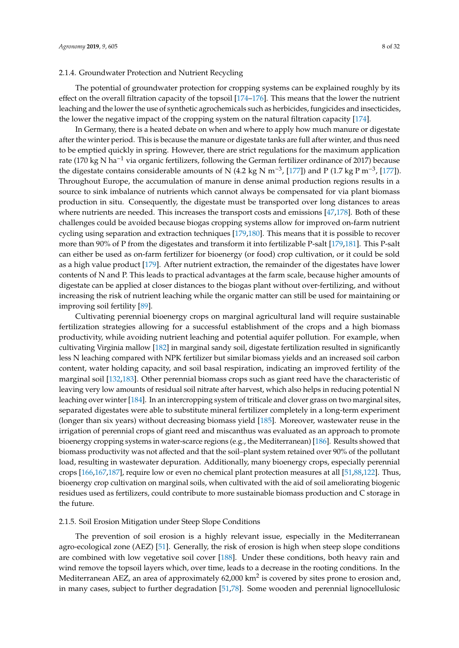# 2.1.4. Groundwater Protection and Nutrient Recycling

The potential of groundwater protection for cropping systems can be explained roughly by its effect on the overall filtration capacity of the topsoil  $[174–176]$ . This means that the lower the nutrient leaching and the lower the use of synthetic agrochemicals such as herbicides, fungicides and insecticides, the lower the negative impact of the cropping system on the natural filtration capacity [174].

In Germany, there is a heated debate on when and where to apply how much manure or digestate after the winter period. This is because the manure or digestate tanks are full after winter, and thus need to be emptied quickly in spring. However, there are strict regulations for the maximum application rate (170 kg N ha−<sup>1</sup> via organic fertilizers, following the German fertilizer ordinance of 2017) because the digestate contains considerable amounts of N (4.2 kg N m<sup>-3</sup>, [177]) and P (1.7 kg P m<sup>-3</sup>, [177]). Throughout Europe, the accumulation of manure in dense animal production regions results in a source to sink imbalance of nutrients which cannot always be compensated for via plant biomass production in situ. Consequently, the digestate must be transported over long distances to areas where nutrients are needed. This increases the transport costs and emissions [47,178]. Both of these challenges could be avoided because biogas cropping systems allow for improved on-farm nutrient cycling using separation and extraction techniques [179,180]. This means that it is possible to recover more than 90% of P from the digestates and transform it into fertilizable P-salt [179,181]. This P-salt can either be used as on-farm fertilizer for bioenergy (or food) crop cultivation, or it could be sold as a high value product [179]. After nutrient extraction, the remainder of the digestates have lower contents of N and P. This leads to practical advantages at the farm scale, because higher amounts of digestate can be applied at closer distances to the biogas plant without over-fertilizing, and without increasing the risk of nutrient leaching while the organic matter can still be used for maintaining or improving soil fertility [89].

Cultivating perennial bioenergy crops on marginal agricultural land will require sustainable fertilization strategies allowing for a successful establishment of the crops and a high biomass productivity, while avoiding nutrient leaching and potential aquifer pollution. For example, when cultivating Virginia mallow [182] in marginal sandy soil, digestate fertilization resulted in significantly less N leaching compared with NPK fertilizer but similar biomass yields and an increased soil carbon content, water holding capacity, and soil basal respiration, indicating an improved fertility of the marginal soil [132,183]. Other perennial biomass crops such as giant reed have the characteristic of leaving very low amounts of residual soil nitrate after harvest, which also helps in reducing potential N leaching over winter [184]. In an intercropping system of triticale and clover grass on two marginal sites, separated digestates were able to substitute mineral fertilizer completely in a long-term experiment (longer than six years) without decreasing biomass yield [185]. Moreover, wastewater reuse in the irrigation of perennial crops of giant reed and miscanthus was evaluated as an approach to promote bioenergy cropping systems in water-scarce regions (e.g., the Mediterranean) [186]. Results showed that biomass productivity was not affected and that the soil–plant system retained over 90% of the pollutant load, resulting in wastewater depuration. Additionally, many bioenergy crops, especially perennial crops [166,167,187], require low or even no chemical plant protection measures at all [51,88,122]. Thus, bioenergy crop cultivation on marginal soils, when cultivated with the aid of soil ameliorating biogenic residues used as fertilizers, could contribute to more sustainable biomass production and C storage in the future.

#### 2.1.5. Soil Erosion Mitigation under Steep Slope Conditions

The prevention of soil erosion is a highly relevant issue, especially in the Mediterranean agro-ecological zone (AEZ) [51]. Generally, the risk of erosion is high when steep slope conditions are combined with low vegetative soil cover [188]. Under these conditions, both heavy rain and wind remove the topsoil layers which, over time, leads to a decrease in the rooting conditions. In the Mediterranean AEZ, an area of approximately 62,000 km<sup>2</sup> is covered by sites prone to erosion and, in many cases, subject to further degradation [51,78]. Some wooden and perennial lignocellulosic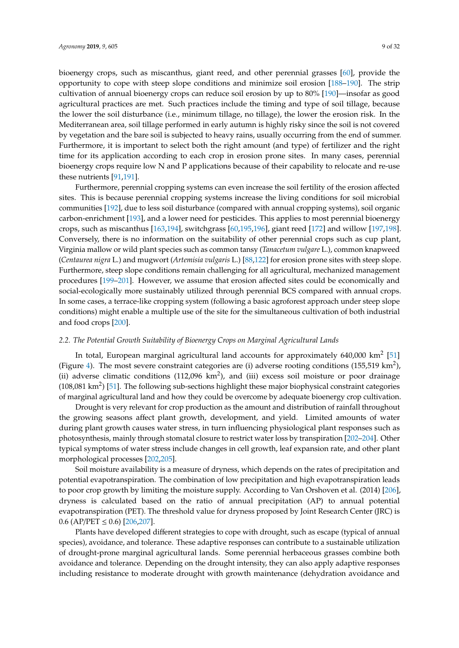bioenergy crops, such as miscanthus, giant reed, and other perennial grasses [60], provide the opportunity to cope with steep slope conditions and minimize soil erosion [188–190]. The strip cultivation of annual bioenergy crops can reduce soil erosion by up to 80% [190]—insofar as good agricultural practices are met. Such practices include the timing and type of soil tillage, because the lower the soil disturbance (i.e., minimum tillage, no tillage), the lower the erosion risk. In the Mediterranean area, soil tillage performed in early autumn is highly risky since the soil is not covered by vegetation and the bare soil is subjected to heavy rains, usually occurring from the end of summer. Furthermore, it is important to select both the right amount (and type) of fertilizer and the right time for its application according to each crop in erosion prone sites. In many cases, perennial bioenergy crops require low N and P applications because of their capability to relocate and re-use these nutrients [91,191].

Furthermore, perennial cropping systems can even increase the soil fertility of the erosion affected sites. This is because perennial cropping systems increase the living conditions for soil microbial communities [192], due to less soil disturbance (compared with annual cropping systems), soil organic carbon-enrichment [193], and a lower need for pesticides. This applies to most perennial bioenergy crops, such as miscanthus [163,194], switchgrass [60,195,196], giant reed [172] and willow [197,198]. Conversely, there is no information on the suitability of other perennial crops such as cup plant, Virginia mallow or wild plant species such as common tansy (*Tanacetum vulgare* L.), common knapweed (*Centaurea nigra* L.) and mugwort (*Artemisia vulgaris* L.) [88,122] for erosion prone sites with steep slope. Furthermore, steep slope conditions remain challenging for all agricultural, mechanized management procedures [199–201]. However, we assume that erosion affected sites could be economically and social-ecologically more sustainably utilized through perennial BCS compared with annual crops. In some cases, a terrace-like cropping system (following a basic agroforest approach under steep slope conditions) might enable a multiple use of the site for the simultaneous cultivation of both industrial and food crops [200].

# *2.2. The Potential Growth Suitability of Bioenergy Crops on Marginal Agricultural Lands*

In total, European marginal agricultural land accounts for approximately 640,000 km<sup>2</sup> [51] (Figure 4). The most severe constraint categories are (i) adverse rooting conditions (155,519 km<sup>2</sup>), (ii) adverse climatic conditions (112,096  $km^2$ ), and (iii) excess soil moisture or poor drainage (108,081 km<sup>2</sup>) [51]. The following sub-sections highlight these major biophysical constraint categories of marginal agricultural land and how they could be overcome by adequate bioenergy crop cultivation.

Drought is very relevant for crop production as the amount and distribution of rainfall throughout the growing seasons affect plant growth, development, and yield. Limited amounts of water during plant growth causes water stress, in turn influencing physiological plant responses such as photosynthesis, mainly through stomatal closure to restrict water loss by transpiration [202–204]. Other typical symptoms of water stress include changes in cell growth, leaf expansion rate, and other plant morphological processes [202,205].

Soil moisture availability is a measure of dryness, which depends on the rates of precipitation and potential evapotranspiration. The combination of low precipitation and high evapotranspiration leads to poor crop growth by limiting the moisture supply. According to Van Orshoven et al. (2014) [206], dryness is calculated based on the ratio of annual precipitation (AP) to annual potential evapotranspiration (PET). The threshold value for dryness proposed by Joint Research Center (JRC) is  $0.6$  (AP/PET  $\leq$  0.6) [206,207].

Plants have developed different strategies to cope with drought, such as escape (typical of annual species), avoidance, and tolerance. These adaptive responses can contribute to a sustainable utilization of drought-prone marginal agricultural lands. Some perennial herbaceous grasses combine both avoidance and tolerance. Depending on the drought intensity, they can also apply adaptive responses including resistance to moderate drought with growth maintenance (dehydration avoidance and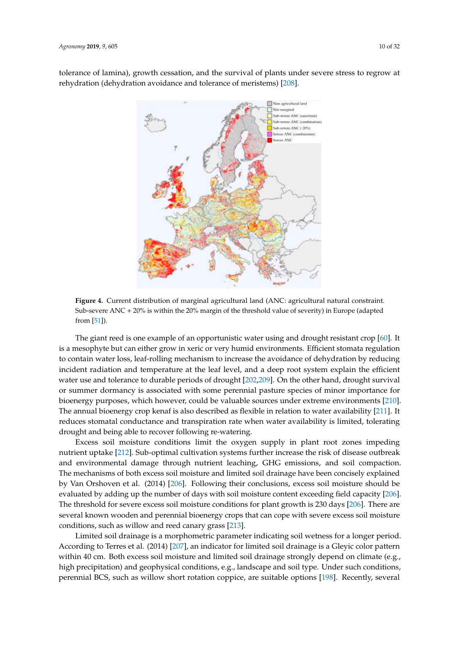

tolerance of lamina), growth cessation, and the survival or plants under severe stress to regrow at rehydration (dehydration avoidance and tolerance of meristems) [208].



**Figure 4.** Current distribution of marginal agricultural land (ANC: agricultural natural constraint. Sub-severe ANC + 20% is within the 20% margin of the threshold value of severity) in Europe (adapted from [51]).

The giant reed is one example of an opportunistic water using and drought resistant crop [60]. It is a mesophyte but can either grow in xeric or very humid environments. Efficient stomata regulation to contain water loss, leaf-rolling mechanism to increase the avoidance of dehydration by reducing incident radiation and temperature at the leaf level, and a deep root system explain the efficient water use and tolerance to durable periods of drought [202,209]. On the other hand, drought survival or summer dormancy is associated with some perennial pasture species of minor importance for bioenergy purposes, which however, could be valuable sources under extreme environments [210]. The annual bioenergy crop kenaf is also described as flexible in relation to water availability [211]. It reduces stomatal conductance and transpiration rate when water availability is limited, tolerating drought and being able to recover following re-watering.

Excess soil moisture conditions limit the oxygen supply in plant root zones impeding nutrient uptake [212]. Sub-optimal cultivation systems further increase the risk of disease outbreak and environmental damage through nutrient leaching, GHG emissions, and soil compaction. The mechanisms of both excess soil moisture and limited soil drainage have been concisely explained by Van Orshoven et al. (2014) [206]. Following their conclusions, excess soil moisture should be evaluated by adding up the number of days with soil moisture content exceeding field capacity [206]. The threshold for severe excess soil moisture conditions for plant growth is 230 days [206]. There are several known wooden and perennial bioenergy crops that can cope with severe excess soil moisture conditions, such as willow and reed canary grass [213].

Limited soil drainage is a morphometric parameter indicating soil wetness for a longer period. According to Terres et al. (2014) [207], an indicator for limited soil drainage is a Gleyic color pattern within 40 cm. Both excess soil moisture and limited soil drainage strongly depend on climate (e.g., high precipitation) and geophysical conditions, e.g., landscape and soil type. Under such conditions, perennial BCS, such as willow short rotation coppice, are suitable options [198]. Recently, several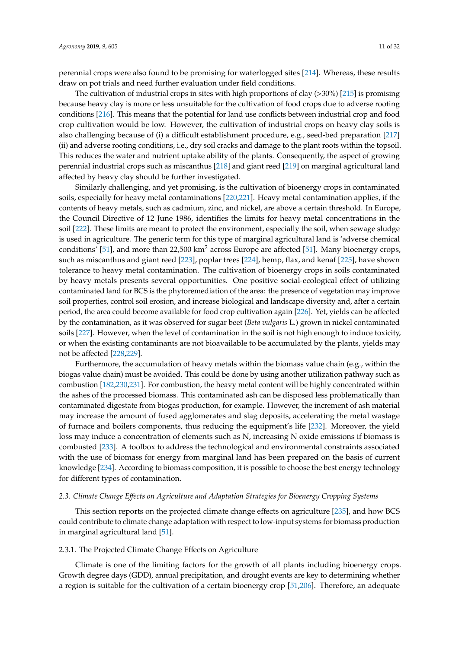perennial crops were also found to be promising for waterlogged sites [214]. Whereas, these results draw on pot trials and need further evaluation under field conditions.

The cultivation of industrial crops in sites with high proportions of clay (>30%) [215] is promising because heavy clay is more or less unsuitable for the cultivation of food crops due to adverse rooting conditions [216]. This means that the potential for land use conflicts between industrial crop and food crop cultivation would be low. However, the cultivation of industrial crops on heavy clay soils is also challenging because of (i) a difficult establishment procedure, e.g., seed-bed preparation [217] (ii) and adverse rooting conditions, i.e., dry soil cracks and damage to the plant roots within the topsoil. This reduces the water and nutrient uptake ability of the plants. Consequently, the aspect of growing perennial industrial crops such as miscanthus [218] and giant reed [219] on marginal agricultural land affected by heavy clay should be further investigated.

Similarly challenging, and yet promising, is the cultivation of bioenergy crops in contaminated soils, especially for heavy metal contaminations [220,221]. Heavy metal contamination applies, if the contents of heavy metals, such as cadmium, zinc, and nickel, are above a certain threshold. In Europe, the Council Directive of 12 June 1986, identifies the limits for heavy metal concentrations in the soil [222]. These limits are meant to protect the environment, especially the soil, when sewage sludge is used in agriculture. The generic term for this type of marginal agricultural land is 'adverse chemical conditions' [51], and more than 22,500  $km^2$  across Europe are affected [51]. Many bioenergy crops, such as miscanthus and giant reed [223], poplar trees [224], hemp, flax, and kenaf [225], have shown tolerance to heavy metal contamination. The cultivation of bioenergy crops in soils contaminated by heavy metals presents several opportunities. One positive social-ecological effect of utilizing contaminated land for BCS is the phytoremediation of the area: the presence of vegetation may improve soil properties, control soil erosion, and increase biological and landscape diversity and, after a certain period, the area could become available for food crop cultivation again [226]. Yet, yields can be affected by the contamination, as it was observed for sugar beet (*Beta vulgaris* L.) grown in nickel contaminated soils [227]. However, when the level of contamination in the soil is not high enough to induce toxicity, or when the existing contaminants are not bioavailable to be accumulated by the plants, yields may not be affected [228,229].

Furthermore, the accumulation of heavy metals within the biomass value chain (e.g., within the biogas value chain) must be avoided. This could be done by using another utilization pathway such as combustion [182,230,231]. For combustion, the heavy metal content will be highly concentrated within the ashes of the processed biomass. This contaminated ash can be disposed less problematically than contaminated digestate from biogas production, for example. However, the increment of ash material may increase the amount of fused agglomerates and slag deposits, accelerating the metal wastage of furnace and boilers components, thus reducing the equipment's life [232]. Moreover, the yield loss may induce a concentration of elements such as N, increasing N oxide emissions if biomass is combusted [233]. A toolbox to address the technological and environmental constraints associated with the use of biomass for energy from marginal land has been prepared on the basis of current knowledge [234]. According to biomass composition, it is possible to choose the best energy technology for different types of contamination.

#### *2.3. Climate Change E*ff*ects on Agriculture and Adaptation Strategies for Bioenergy Cropping Systems*

This section reports on the projected climate change effects on agriculture [235], and how BCS could contribute to climate change adaptation with respect to low-input systems for biomass production in marginal agricultural land [51].

# 2.3.1. The Projected Climate Change Effects on Agriculture

Climate is one of the limiting factors for the growth of all plants including bioenergy crops. Growth degree days (GDD), annual precipitation, and drought events are key to determining whether a region is suitable for the cultivation of a certain bioenergy crop [51,206]. Therefore, an adequate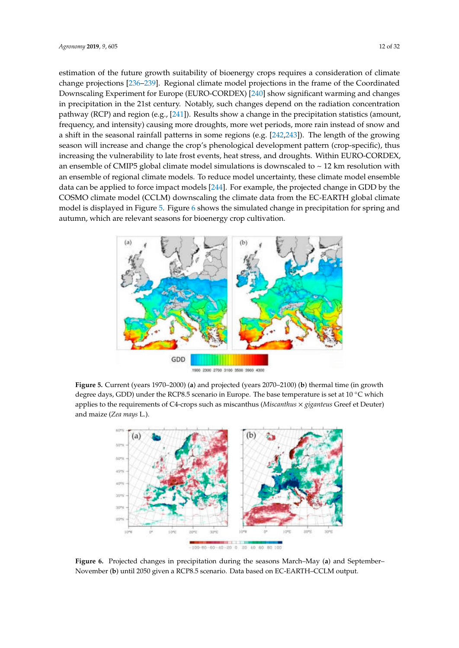estimation of the future growth suitability of bioenergy crops requires a consideration of climate change projections [236–239]. Regional climate model projections in the frame of the Coordinated Downscaling Experiment for Europe (EURO-CORDEX) [240] show significant warming and changes in precipitation in the 21st century. Notably, such changes depend on the radiation concentration pathway (RCP) and region (e.g., [241]). Results show a change in the precipitation statistics (amount, frequency, and intensity) causing more droughts, more wet periods, more rain instead of snow and a shift in the seasonal rainfall patterns in some regions (e.g. [242,243]). The length of the growing season will increase and change the crop's phenological development pattern (crop-specific), thus increasing the vulnerability to late frost events, heat stress, and droughts. Within EURO-CORDEX, an ensemble of CMIP5 global climate model simulations is downscaled to  $\sim$  12 km resolution with an ensemble of regional climate models. To reduce model uncertainty, these climate model ensemble data can be applied to force impact models [244]. For example, the projected change in GDD by the COSMO climate model (CCLM) downscaling the climate data from the EC-EARTH global climate model is displayed in Figure 5. Figure 6 shows the simulated change in precipitation for spring and autumn, which are relevant seasons for bioenergy crop cultivation.









**Figure 6.** Projected changes in precipitation during the seasons March–May (**a**) and September– November (**b**) until 2050 given a RCP8.5 scenario. Data based on EC-EARTH–CCLM output.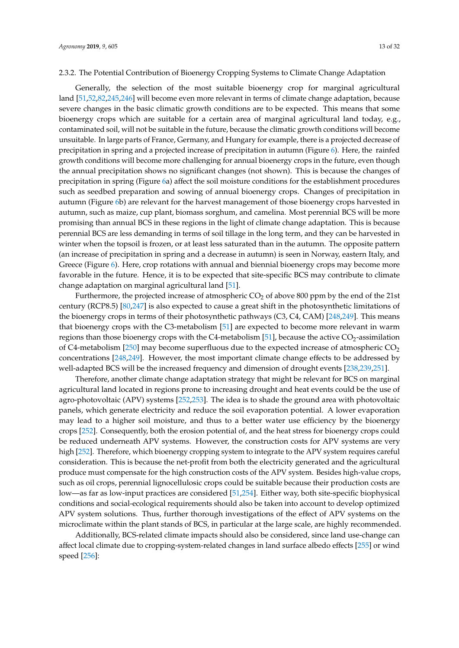## 2.3.2. The Potential Contribution of Bioenergy Cropping Systems to Climate Change Adaptation

Generally, the selection of the most suitable bioenergy crop for marginal agricultural land [51,52,82,245,246] will become even more relevant in terms of climate change adaptation, because severe changes in the basic climatic growth conditions are to be expected. This means that some bioenergy crops which are suitable for a certain area of marginal agricultural land today, e.g., contaminated soil, will not be suitable in the future, because the climatic growth conditions will become unsuitable. In large parts of France, Germany, and Hungary for example, there is a projected decrease of precipitation in spring and a projected increase of precipitation in autumn (Figure 6). Here, the rainfed growth conditions will become more challenging for annual bioenergy crops in the future, even though the annual precipitation shows no significant changes (not shown). This is because the changes of precipitation in spring (Figure 6a) affect the soil moisture conditions for the establishment procedures such as seedbed preparation and sowing of annual bioenergy crops. Changes of precipitation in autumn (Figure 6b) are relevant for the harvest management of those bioenergy crops harvested in autumn, such as maize, cup plant, biomass sorghum, and camelina. Most perennial BCS will be more promising than annual BCS in these regions in the light of climate change adaptation. This is because perennial BCS are less demanding in terms of soil tillage in the long term, and they can be harvested in winter when the topsoil is frozen, or at least less saturated than in the autumn. The opposite pattern (an increase of precipitation in spring and a decrease in autumn) is seen in Norway, eastern Italy, and Greece (Figure 6). Here, crop rotations with annual and biennial bioenergy crops may become more favorable in the future. Hence, it is to be expected that site-specific BCS may contribute to climate change adaptation on marginal agricultural land [51].

Furthermore, the projected increase of atmospheric  $CO<sub>2</sub>$  of above 800 ppm by the end of the 21st century (RCP8.5) [80,247] is also expected to cause a great shift in the photosynthetic limitations of the bioenergy crops in terms of their photosynthetic pathways (C3, C4, CAM) [248,249]. This means that bioenergy crops with the C3-metabolism [51] are expected to become more relevant in warm regions than those bioenergy crops with the C4-metabolism [51], because the active  $CO<sub>2</sub>$ -assimilation of C4-metabolism [250] may become superfluous due to the expected increase of atmospheric  $CO<sub>2</sub>$ concentrations [248,249]. However, the most important climate change effects to be addressed by well-adapted BCS will be the increased frequency and dimension of drought events [238,239,251].

Therefore, another climate change adaptation strategy that might be relevant for BCS on marginal agricultural land located in regions prone to increasing drought and heat events could be the use of agro-photovoltaic (APV) systems [252,253]. The idea is to shade the ground area with photovoltaic panels, which generate electricity and reduce the soil evaporation potential. A lower evaporation may lead to a higher soil moisture, and thus to a better water use efficiency by the bioenergy crops [252]. Consequently, both the erosion potential of, and the heat stress for bioenergy crops could be reduced underneath APV systems. However, the construction costs for APV systems are very high [252]. Therefore, which bioenergy cropping system to integrate to the APV system requires careful consideration. This is because the net-profit from both the electricity generated and the agricultural produce must compensate for the high construction costs of the APV system. Besides high-value crops, such as oil crops, perennial lignocellulosic crops could be suitable because their production costs are low—as far as low-input practices are considered [51,254]. Either way, both site-specific biophysical conditions and social-ecological requirements should also be taken into account to develop optimized APV system solutions. Thus, further thorough investigations of the effect of APV systems on the microclimate within the plant stands of BCS, in particular at the large scale, are highly recommended.

Additionally, BCS-related climate impacts should also be considered, since land use-change can affect local climate due to cropping-system-related changes in land surface albedo effects [255] or wind speed [256]: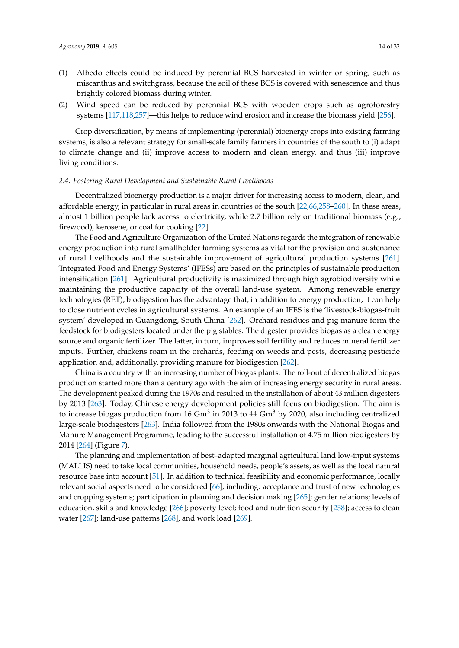- (1) Albedo effects could be induced by perennial BCS harvested in winter or spring, such as miscanthus and switchgrass, because the soil of these BCS is covered with senescence and thus brightly colored biomass during winter.
- (2) Wind speed can be reduced by perennial BCS with wooden crops such as agroforestry systems [117,118,257]—this helps to reduce wind erosion and increase the biomass yield [256].

Crop diversification, by means of implementing (perennial) bioenergy crops into existing farming systems, is also a relevant strategy for small-scale family farmers in countries of the south to (i) adapt to climate change and (ii) improve access to modern and clean energy, and thus (iii) improve living conditions.

#### *2.4. Fostering Rural Development and Sustainable Rural Livelihoods*

Decentralized bioenergy production is a major driver for increasing access to modern, clean, and affordable energy, in particular in rural areas in countries of the south [22,66,258–260]. In these areas, almost 1 billion people lack access to electricity, while 2.7 billion rely on traditional biomass (e.g., firewood), kerosene, or coal for cooking [22].

The Food and Agriculture Organization of the United Nations regards the integration of renewable energy production into rural smallholder farming systems as vital for the provision and sustenance of rural livelihoods and the sustainable improvement of agricultural production systems [261]. 'Integrated Food and Energy Systems' (IFESs) are based on the principles of sustainable production intensification [261]. Agricultural productivity is maximized through high agrobiodiversity while maintaining the productive capacity of the overall land-use system. Among renewable energy technologies (RET), biodigestion has the advantage that, in addition to energy production, it can help to close nutrient cycles in agricultural systems. An example of an IFES is the 'livestock-biogas-fruit system' developed in Guangdong, South China [262]. Orchard residues and pig manure form the feedstock for biodigesters located under the pig stables. The digester provides biogas as a clean energy source and organic fertilizer. The latter, in turn, improves soil fertility and reduces mineral fertilizer inputs. Further, chickens roam in the orchards, feeding on weeds and pests, decreasing pesticide application and, additionally, providing manure for biodigestion [262].

China is a country with an increasing number of biogas plants. The roll-out of decentralized biogas production started more than a century ago with the aim of increasing energy security in rural areas. The development peaked during the 1970s and resulted in the installation of about 43 million digesters by 2013 [263]. Today, Chinese energy development policies still focus on biodigestion. The aim is to increase biogas production from 16  $\text{Gm}^3$  in 2013 to 44  $\text{Gm}^3$  by 2020, also including centralized large-scale biodigesters [263]. India followed from the 1980s onwards with the National Biogas and Manure Management Programme, leading to the successful installation of 4.75 million biodigesters by 2014 [264] (Figure 7).

The planning and implementation of best–adapted marginal agricultural land low-input systems (MALLIS) need to take local communities, household needs, people's assets, as well as the local natural resource base into account [51]. In addition to technical feasibility and economic performance, locally relevant social aspects need to be considered [66], including: acceptance and trust of new technologies and cropping systems; participation in planning and decision making [265]; gender relations; levels of education, skills and knowledge [266]; poverty level; food and nutrition security [258]; access to clean water [267]; land-use patterns [268], and work load [269].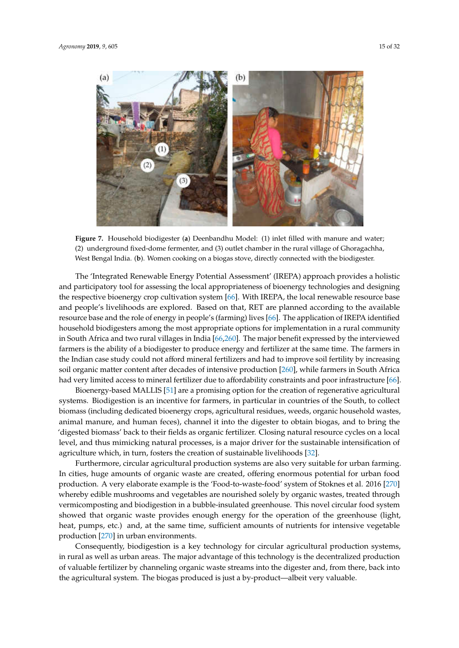

**Figure 7.** Household biodigester (**a**) Deenbandhu Model: (1) inlet filled with manure and water; (2) underground fixed-dome fermenter, and (3) outlet chamber in the rural village of Ghoragachha, West Bengal India. (**b**). Women cooking on a biogas stove, directly connected with the biodigester.

The 'Integrated Renewable Energy Potential Assessment' (IREPA) approach provides a holistic and participatory tool for assessing the local appropriateness of bioenergy technologies and designing the respective bioenergy crop cultivation system [66]. With IREPA, the local renewable resource base and people's livelihoods are explored. Based on that, RET are planned according to the available resource base and the role of energy in people's (farming) lives [66]. The application of IREPA identified household biodigesters among the most appropriate options for implementation in a rural community in South Africa and two rural villages in India [66,260]. The major benefit expressed by the interviewed farmers is the ability of a biodigester to produce energy and fertilizer at the same time. The farmers in the Indian case study could not afford mineral fertilizers and had to improve soil fertility by increasing soil organic matter content after decades of intensive production [260], while farmers in South Africa had very limited access to mineral fertilizer due to affordability constraints and poor infrastructure [66].

Bioenergy-based MALLIS [51] are a promising option for the creation of regenerative agricultural systems. Biodigestion is an incentive for farmers, in particular in countries of the South, to collect biomass (including dedicated bioenergy crops, agricultural residues, weeds, organic household wastes, animal manure, and human feces), channel it into the digester to obtain biogas, and to bring the 'digested biomass' back to their fields as organic fertilizer. Closing natural resource cycles on a local level, and thus mimicking natural processes, is a major driver for the sustainable intensification of agriculture which, in turn, fosters the creation of sustainable livelihoods [32].

Furthermore, circular agricultural production systems are also very suitable for urban farming. In cities, huge amounts of organic waste are created, offering enormous potential for urban food production. A very elaborate example is the 'Food-to-waste-food' system of Stoknes et al. 2016 [270] whereby edible mushrooms and vegetables are nourished solely by organic wastes, treated through vermicomposting and biodigestion in a bubble-insulated greenhouse. This novel circular food system showed that organic waste provides enough energy for the operation of the greenhouse (light, heat, pumps, etc.) and, at the same time, sufficient amounts of nutrients for intensive vegetable production [270] in urban environments.

Consequently, biodigestion is a key technology for circular agricultural production systems, in rural as well as urban areas. The major advantage of this technology is the decentralized production of valuable fertilizer by channeling organic waste streams into the digester and, from there, back into the agricultural system. The biogas produced is just a by-product—albeit very valuable.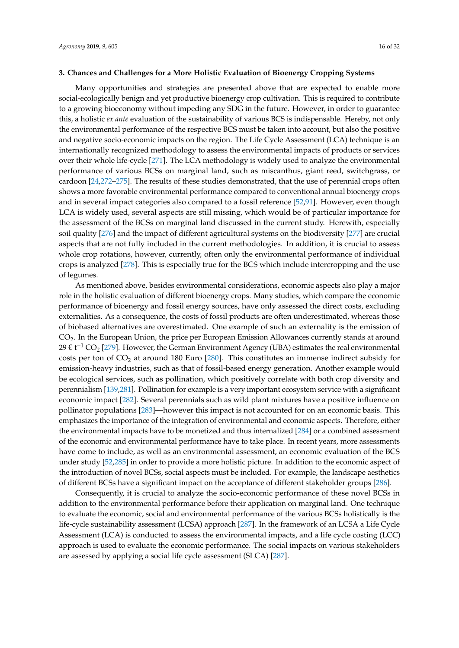#### **3. Chances and Challenges for a More Holistic Evaluation of Bioenergy Cropping Systems**

Many opportunities and strategies are presented above that are expected to enable more social-ecologically benign and yet productive bioenergy crop cultivation. This is required to contribute to a growing bioeconomy without impeding any SDG in the future. However, in order to guarantee this, a holistic *ex ante* evaluation of the sustainability of various BCS is indispensable. Hereby, not only the environmental performance of the respective BCS must be taken into account, but also the positive and negative socio-economic impacts on the region. The Life Cycle Assessment (LCA) technique is an internationally recognized methodology to assess the environmental impacts of products or services over their whole life-cycle [271]. The LCA methodology is widely used to analyze the environmental performance of various BCSs on marginal land, such as miscanthus, giant reed, switchgrass, or cardoon [24,272–275]. The results of these studies demonstrated, that the use of perennial crops often shows a more favorable environmental performance compared to conventional annual bioenergy crops and in several impact categories also compared to a fossil reference [52,91]. However, even though LCA is widely used, several aspects are still missing, which would be of particular importance for the assessment of the BCSs on marginal land discussed in the current study. Herewith, especially soil quality [276] and the impact of different agricultural systems on the biodiversity [277] are crucial aspects that are not fully included in the current methodologies. In addition, it is crucial to assess whole crop rotations, however, currently, often only the environmental performance of individual crops is analyzed [278]. This is especially true for the BCS which include intercropping and the use of legumes.

As mentioned above, besides environmental considerations, economic aspects also play a major role in the holistic evaluation of different bioenergy crops. Many studies, which compare the economic performance of bioenergy and fossil energy sources, have only assessed the direct costs, excluding externalities. As a consequence, the costs of fossil products are often underestimated, whereas those of biobased alternatives are overestimated. One example of such an externality is the emission of CO2. In the European Union, the price per European Emission Allowances currently stands at around 29 € t<sup>-1</sup> CO<sub>2</sub> [279]. However, the German Environment Agency (UBA) estimates the real environmental costs per ton of  $CO<sub>2</sub>$  at around 180 Euro [280]. This constitutes an immense indirect subsidy for emission-heavy industries, such as that of fossil-based energy generation. Another example would be ecological services, such as pollination, which positively correlate with both crop diversity and perennialism [139,281]. Pollination for example is a very important ecosystem service with a significant economic impact [282]. Several perennials such as wild plant mixtures have a positive influence on pollinator populations [283]—however this impact is not accounted for on an economic basis. This emphasizes the importance of the integration of environmental and economic aspects. Therefore, either the environmental impacts have to be monetized and thus internalized [284] or a combined assessment of the economic and environmental performance have to take place. In recent years, more assessments have come to include, as well as an environmental assessment, an economic evaluation of the BCS under study [52,285] in order to provide a more holistic picture. In addition to the economic aspect of the introduction of novel BCSs, social aspects must be included. For example, the landscape aesthetics of different BCSs have a significant impact on the acceptance of different stakeholder groups [286].

Consequently, it is crucial to analyze the socio-economic performance of these novel BCSs in addition to the environmental performance before their application on marginal land. One technique to evaluate the economic, social and environmental performance of the various BCSs holistically is the life-cycle sustainability assessment (LCSA) approach [287]. In the framework of an LCSA a Life Cycle Assessment (LCA) is conducted to assess the environmental impacts, and a life cycle costing (LCC) approach is used to evaluate the economic performance. The social impacts on various stakeholders are assessed by applying a social life cycle assessment (SLCA) [287].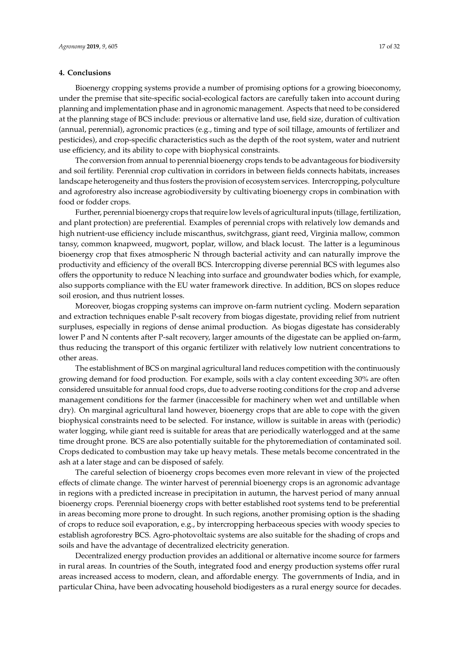# **4. Conclusions**

Bioenergy cropping systems provide a number of promising options for a growing bioeconomy, under the premise that site-specific social-ecological factors are carefully taken into account during planning and implementation phase and in agronomic management. Aspects that need to be considered at the planning stage of BCS include: previous or alternative land use, field size, duration of cultivation (annual, perennial), agronomic practices (e.g., timing and type of soil tillage, amounts of fertilizer and pesticides), and crop-specific characteristics such as the depth of the root system, water and nutrient use efficiency, and its ability to cope with biophysical constraints.

The conversion from annual to perennial bioenergy crops tends to be advantageous for biodiversity and soil fertility. Perennial crop cultivation in corridors in between fields connects habitats, increases landscape heterogeneity and thus fosters the provision of ecosystem services. Intercropping, polyculture and agroforestry also increase agrobiodiversity by cultivating bioenergy crops in combination with food or fodder crops.

Further, perennial bioenergy crops that require low levels of agricultural inputs (tillage, fertilization, and plant protection) are preferential. Examples of perennial crops with relatively low demands and high nutrient-use efficiency include miscanthus, switchgrass, giant reed, Virginia mallow, common tansy, common knapweed, mugwort, poplar, willow, and black locust. The latter is a leguminous bioenergy crop that fixes atmospheric N through bacterial activity and can naturally improve the productivity and efficiency of the overall BCS. Intercropping diverse perennial BCS with legumes also offers the opportunity to reduce N leaching into surface and groundwater bodies which, for example, also supports compliance with the EU water framework directive. In addition, BCS on slopes reduce soil erosion, and thus nutrient losses.

Moreover, biogas cropping systems can improve on-farm nutrient cycling. Modern separation and extraction techniques enable P-salt recovery from biogas digestate, providing relief from nutrient surpluses, especially in regions of dense animal production. As biogas digestate has considerably lower P and N contents after P-salt recovery, larger amounts of the digestate can be applied on-farm, thus reducing the transport of this organic fertilizer with relatively low nutrient concentrations to other areas.

The establishment of BCS on marginal agricultural land reduces competition with the continuously growing demand for food production. For example, soils with a clay content exceeding 30% are often considered unsuitable for annual food crops, due to adverse rooting conditions for the crop and adverse management conditions for the farmer (inaccessible for machinery when wet and untillable when dry). On marginal agricultural land however, bioenergy crops that are able to cope with the given biophysical constraints need to be selected. For instance, willow is suitable in areas with (periodic) water logging, while giant reed is suitable for areas that are periodically waterlogged and at the same time drought prone. BCS are also potentially suitable for the phytoremediation of contaminated soil. Crops dedicated to combustion may take up heavy metals. These metals become concentrated in the ash at a later stage and can be disposed of safely.

The careful selection of bioenergy crops becomes even more relevant in view of the projected effects of climate change. The winter harvest of perennial bioenergy crops is an agronomic advantage in regions with a predicted increase in precipitation in autumn, the harvest period of many annual bioenergy crops. Perennial bioenergy crops with better established root systems tend to be preferential in areas becoming more prone to drought. In such regions, another promising option is the shading of crops to reduce soil evaporation, e.g., by intercropping herbaceous species with woody species to establish agroforestry BCS. Agro-photovoltaic systems are also suitable for the shading of crops and soils and have the advantage of decentralized electricity generation.

Decentralized energy production provides an additional or alternative income source for farmers in rural areas. In countries of the South, integrated food and energy production systems offer rural areas increased access to modern, clean, and affordable energy. The governments of India, and in particular China, have been advocating household biodigesters as a rural energy source for decades.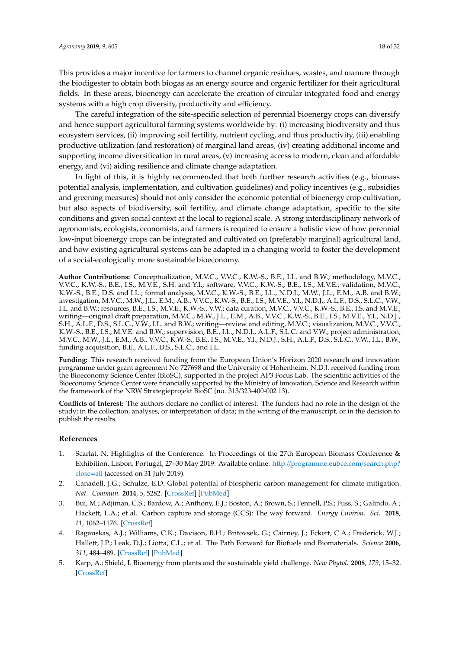This provides a major incentive for farmers to channel organic residues, wastes, and manure through the biodigester to obtain both biogas as an energy source and organic fertilizer for their agricultural fields. In these areas, bioenergy can accelerate the creation of circular integrated food and energy systems with a high crop diversity, productivity and efficiency.

The careful integration of the site-specific selection of perennial bioenergy crops can diversify and hence support agricultural farming systems worldwide by: (i) increasing biodiversity and thus ecosystem services, (ii) improving soil fertility, nutrient cycling, and thus productivity, (iii) enabling productive utilization (and restoration) of marginal land areas, (iv) creating additional income and supporting income diversification in rural areas, (v) increasing access to modern, clean and affordable energy, and (vi) aiding resilience and climate change adaptation.

In light of this, it is highly recommended that both further research activities (e.g., biomass potential analysis, implementation, and cultivation guidelines) and policy incentives (e.g., subsidies and greening measures) should not only consider the economic potential of bioenergy crop cultivation, but also aspects of biodiversity, soil fertility, and climate change adaptation, specific to the site conditions and given social context at the local to regional scale. A strong interdisciplinary network of agronomists, ecologists, economists, and farmers is required to ensure a holistic view of how perennial low-input bioenergy crops can be integrated and cultivated on (preferably marginal) agricultural land, and how existing agricultural systems can be adapted in a changing world to foster the development of a social-ecologically more sustainable bioeconomy.

**Author Contributions:** Conceptualization, M.V.C., V.V.C., K.W.-S., B.E., I.L. and B.W.; methodology, M.V.C., V.V.C., K.W.-S., B.E., I.S., M.V.E., S.H. and Y.I.; software, V.V.C., K.W.-S., B.E., I.S., M.V.E.; validation, M.V.C., K.W.-S., B.E., D.S. and I.L.; formal analysis, M.V.C., K.W.-S., B.E., I.L., N.D.J., M.W., J.L., E.M., A.B. and B.W.; investigation, M.V.C., M.W., J.L., E.M., A.B., V.V.C., K.W.-S., B.E., I.S., M.V.E., Y.I., N.D.J., A.L.F., D.S., S.L.C., V.W., I.L. and B.W.; resources, B.E., I.S., M.V.E., K.W.-S., V.W.; data curation, M.V.C., V.V.C., K.W.-S., B.E., I.S. and M.V.E.; writing—original draft preparation, M.V.C., M.W., J.L., E.M., A.B., V.V.C., K.W.-S., B.E., I.S., M.V.E., Y.I., N.D.J., S.H., A.L.F., D.S., S.L.C., V.W., I.L. and B.W.; writing—review and editing, M.V.C.; visualization, M.V.C., V.V.C., K.W.-S., B.E., I.S., M.V.E. and B.W.; supervision, B.E., I.L., N.D.J., A.L.F., S.L.C. and V.W.; project administration, M.V.C., M.W., J.L., E.M., A.B., V.V.C., K.W.-S., B.E., I.S., M.V.E., Y.I., N.D.J., S.H., A.L.F., D.S., S.L.C., V.W., I.L., B.W.; funding acquisition, B.E., A.L.F., D.S., S.L.C., and I.L.

**Funding:** This research received funding from the European Union's Horizon 2020 research and innovation programme under grant agreement No 727698 and the University of Hohenheim. N.D.J. received funding from the Bioeconomy Science Center (BioSC), supported in the project AP3 Focus Lab. The scientific activities of the Bioeconomy Science Center were financially supported by the Ministry of Innovation, Science and Research within the framework of the NRW Strategieprojekt BioSC (no. 313/323-400-002 13).

**Conflicts of Interest:** The authors declare no conflict of interest. The funders had no role in the design of the study; in the collection, analyses, or interpretation of data; in the writing of the manuscript, or in the decision to publish the results.

# **References**

- 1. Scarlat, N. Highlights of the Conference. In Proceedings of the 27th European Biomass Conference & Exhibition, Lisbon, Portugal, 27–30 May 2019. Available online: http://programme.eubce.com/search.php? close=all (accessed on 31 July 2019).
- 2. Canadell, J.G.; Schulze, E.D. Global potential of biospheric carbon management for climate mitigation. *Nat. Commun.* **2014**, *5*, 5282. [CrossRef] [PubMed]
- 3. Bui, M.; Adjiman, C.S.; Bardow, A.; Anthony, E.J.; Boston, A.; Brown, S.; Fennell, P.S.; Fuss, S.; Galindo, A.; Hackett, L.A.; et al. Carbon capture and storage (CCS): The way forward. *Energy Environ. Sci.* **2018**, *11*, 1062–1176. [CrossRef]
- 4. Ragauskas, A.J.; Williams, C.K.; Davison, B.H.; Britovsek, G.; Cairney, J.; Eckert, C.A.; Frederick, W.J.; Hallett, J.P.; Leak, D.J.; Liotta, C.L.; et al. The Path Forward for Biofuels and Biomaterials. *Science* **2006**, *311*, 484–489. [CrossRef] [PubMed]
- 5. Karp, A.; Shield, I. Bioenergy from plants and the sustainable yield challenge. *New Phytol.* **2008**, *179*, 15–32. [CrossRef]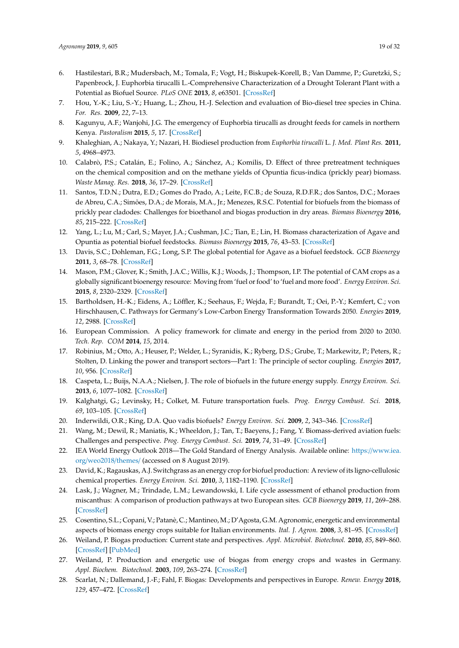- 6. Hastilestari, B.R.; Mudersbach, M.; Tomala, F.; Vogt, H.; Biskupek-Korell, B.; Van Damme, P.; Guretzki, S.; Papenbrock, J. Euphorbia tirucalli L.-Comprehensive Characterization of a Drought Tolerant Plant with a Potential as Biofuel Source. *PLoS ONE* **2013**, *8*, e63501. [CrossRef]
- 7. Hou, Y.-K.; Liu, S.-Y.; Huang, L.; Zhou, H.-J. Selection and evaluation of Bio-diesel tree species in China. *For. Res.* **2009**, *22*, 7–13.
- 8. Kagunyu, A.F.; Wanjohi, J.G. The emergency of Euphorbia tirucalli as drought feeds for camels in northern Kenya. *Pastoralism* **2015**, *5*, 17. [CrossRef]
- 9. Khaleghian, A.; Nakaya, Y.; Nazari, H. Biodiesel production from *Euphorbia tirucalli* L. *J. Med. Plant Res.* **2011**, *5*, 4968–4973.
- 10. Calabrò, P.S.; Catalán, E.; Folino, A.; Sánchez, A.; Komilis, D. Effect of three pretreatment techniques on the chemical composition and on the methane yields of Opuntia ficus-indica (prickly pear) biomass. *Waste Manag. Res.* **2018**, *36*, 17–29. [CrossRef]
- 11. Santos, T.D.N.; Dutra, E.D.; Gomes do Prado, A.; Leite, F.C.B.; de Souza, R.D.F.R.; dos Santos, D.C.; Moraes de Abreu, C.A.; Simões, D.A.; de Morais, M.A., Jr.; Menezes, R.S.C. Potential for biofuels from the biomass of prickly pear cladodes: Challenges for bioethanol and biogas production in dry areas. *Biomass Bioenergy* **2016**, *85*, 215–222. [CrossRef]
- 12. Yang, L.; Lu, M.; Carl, S.; Mayer, J.A.; Cushman, J.C.; Tian, E.; Lin, H. Biomass characterization of Agave and Opuntia as potential biofuel feedstocks. *Biomass Bioenergy* **2015**, *76*, 43–53. [CrossRef]
- 13. Davis, S.C.; Dohleman, F.G.; Long, S.P. The global potential for Agave as a biofuel feedstock. *GCB Bioenergy* **2011**, *3*, 68–78. [CrossRef]
- 14. Mason, P.M.; Glover, K.; Smith, J.A.C.; Willis, K.J.; Woods, J.; Thompson, I.P. The potential of CAM crops as a globally significant bioenergy resource: Moving from 'fuel or food' to 'fuel and more food'. *Energy Environ. Sci.* **2015**, *8*, 2320–2329. [CrossRef]
- 15. Bartholdsen, H.-K.; Eidens, A.; Löffler, K.; Seehaus, F.; Wejda, F.; Burandt, T.; Oei, P.-Y.; Kemfert, C.; von Hirschhausen, C. Pathways for Germany's Low-Carbon Energy Transformation Towards 2050. *Energies* **2019**, *12*, 2988. [CrossRef]
- 16. European Commission. A policy framework for climate and energy in the period from 2020 to 2030. *Tech. Rep. COM* **2014**, *15*, 2014.
- 17. Robinius, M.; Otto, A.; Heuser, P.; Welder, L.; Syranidis, K.; Ryberg, D.S.; Grube, T.; Markewitz, P.; Peters, R.; Stolten, D. Linking the power and transport sectors—Part 1: The principle of sector coupling. *Energies* **2017**, *10*, 956. [CrossRef]
- 18. Caspeta, L.; Buijs, N.A.A.; Nielsen, J. The role of biofuels in the future energy supply. *Energy Environ. Sci.* **2013**, *6*, 1077–1082. [CrossRef]
- 19. Kalghatgi, G.; Levinsky, H.; Colket, M. Future transportation fuels. *Prog. Energy Combust. Sci.* **2018**, *69*, 103–105. [CrossRef]
- 20. Inderwildi, O.R.; King, D.A. Quo vadis biofuels? *Energy Environ. Sci.* **2009**, *2*, 343–346. [CrossRef]
- 21. Wang, M.; Dewil, R.; Maniatis, K.; Wheeldon, J.; Tan, T.; Baeyens, J.; Fang, Y. Biomass-derived aviation fuels: Challenges and perspective. *Prog. Energy Combust. Sci.* **2019**, *74*, 31–49. [CrossRef]
- 22. IEA World Energy Outlook 2018—The Gold Standard of Energy Analysis. Available online: https://www.iea. org/weo2018/themes/ (accessed on 8 August 2019).
- 23. David, K.; Ragauskas, A.J. Switchgrass as an energy crop for biofuel production: A review of its ligno-cellulosic chemical properties. *Energy Environ. Sci.* **2010**, *3*, 1182–1190. [CrossRef]
- 24. Lask, J.; Wagner, M.; Trindade, L.M.; Lewandowski, I. Life cycle assessment of ethanol production from miscanthus: A comparison of production pathways at two European sites. *GCB Bioenergy* **2019**, *11*, 269–288. [CrossRef]
- 25. Cosentino, S.L.; Copani, V.; Patanè, C.; Mantineo, M.; D'Agosta, G.M. Agronomic, energetic and environmental aspects of biomass energy crops suitable for Italian environments. *Ital. J. Agron.* **2008**, *3*, 81–95. [CrossRef]
- 26. Weiland, P. Biogas production: Current state and perspectives. *Appl. Microbiol. Biotechnol.* **2010**, *85*, 849–860. [CrossRef] [PubMed]
- 27. Weiland, P. Production and energetic use of biogas from energy crops and wastes in Germany. *Appl. Biochem. Biotechnol.* **2003**, *109*, 263–274. [CrossRef]
- 28. Scarlat, N.; Dallemand, J.-F.; Fahl, F. Biogas: Developments and perspectives in Europe. *Renew. Energy* **2018**, *129*, 457–472. [CrossRef]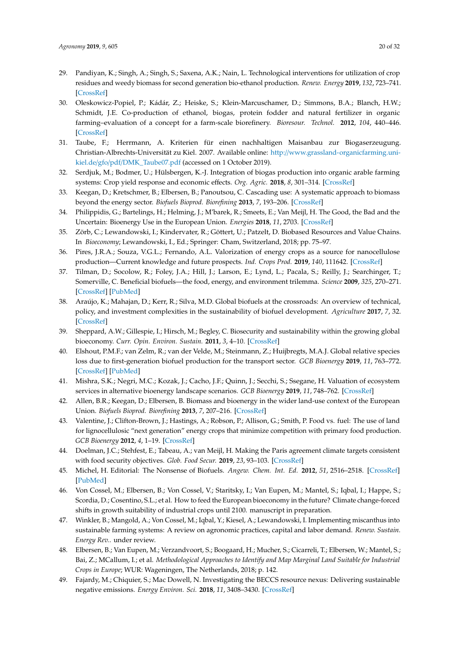- 29. Pandiyan, K.; Singh, A.; Singh, S.; Saxena, A.K.; Nain, L. Technological interventions for utilization of crop residues and weedy biomass for second generation bio-ethanol production. *Renew. Energy* **2019**, *132*, 723–741. [CrossRef]
- 30. Oleskowicz-Popiel, P.; Kádár, Z.; Heiske, S.; Klein-Marcuschamer, D.; Simmons, B.A.; Blanch, H.W.; Schmidt, J.E. Co-production of ethanol, biogas, protein fodder and natural fertilizer in organic farming–evaluation of a concept for a farm-scale biorefinery. *Bioresour. Technol.* **2012**, *104*, 440–446. [CrossRef]
- 31. Taube, F.; Herrmann, A. Kriterien für einen nachhaltigen Maisanbau zur Biogaserzeugung. Christian-Albrechts-Universität zu Kiel. 2007. Available online: http://www.grassland-organicfarming.unikiel.de/gfo/pdf/DMK\_Taube07.pdf (accessed on 1 October 2019).
- 32. Serdjuk, M.; Bodmer, U.; Hülsbergen, K.-J. Integration of biogas production into organic arable farming systems: Crop yield response and economic effects. *Org. Agric.* **2018**, *8*, 301–314. [CrossRef]
- 33. Keegan, D.; Kretschmer, B.; Elbersen, B.; Panoutsou, C. Cascading use: A systematic approach to biomass beyond the energy sector. *Biofuels Bioprod. Biorefining* **2013**, *7*, 193–206. [CrossRef]
- 34. Philippidis, G.; Bartelings, H.; Helming, J.; M'barek, R.; Smeets, E.; Van Meijl, H. The Good, the Bad and the Uncertain: Bioenergy Use in the European Union. *Energies* **2018**, *11*, 2703. [CrossRef]
- 35. Zörb, C.; Lewandowski, I.; Kindervater, R.; Göttert, U.; Patzelt, D. Biobased Resources and Value Chains. In *Bioeconomy*; Lewandowski, I., Ed.; Springer: Cham, Switzerland, 2018; pp. 75–97.
- 36. Pires, J.R.A.; Souza, V.G.L.; Fernando, A.L. Valorization of energy crops as a source for nanocellulose production—Current knowledge and future prospects. *Ind. Crops Prod.* **2019**, *140*, 111642. [CrossRef]
- 37. Tilman, D.; Socolow, R.; Foley, J.A.; Hill, J.; Larson, E.; Lynd, L.; Pacala, S.; Reilly, J.; Searchinger, T.; Somerville, C. Beneficial biofuels—the food, energy, and environment trilemma. *Science* **2009**, *325*, 270–271. [CrossRef] [PubMed]
- 38. Araújo, K.; Mahajan, D.; Kerr, R.; Silva, M.D. Global biofuels at the crossroads: An overview of technical, policy, and investment complexities in the sustainability of biofuel development. *Agriculture* **2017**, *7*, 32. [CrossRef]
- 39. Sheppard, A.W.; Gillespie, I.; Hirsch, M.; Begley, C. Biosecurity and sustainability within the growing global bioeconomy. *Curr. Opin. Environ. Sustain.* **2011**, *3*, 4–10. [CrossRef]
- 40. Elshout, P.M.F.; van Zelm, R.; van der Velde, M.; Steinmann, Z.; Huijbregts, M.A.J. Global relative species loss due to first-generation biofuel production for the transport sector. *GCB Bioenergy* **2019**, *11*, 763–772. [CrossRef] [PubMed]
- 41. Mishra, S.K.; Negri, M.C.; Kozak, J.; Cacho, J.F.; Quinn, J.; Secchi, S.; Ssegane, H. Valuation of ecosystem services in alternative bioenergy landscape scenarios. *GCB Bioenergy* **2019**, *11*, 748–762. [CrossRef]
- 42. Allen, B.R.; Keegan, D.; Elbersen, B. Biomass and bioenergy in the wider land-use context of the European Union. *Biofuels Bioprod. Biorefining* **2013**, *7*, 207–216. [CrossRef]
- 43. Valentine, J.; Clifton-Brown, J.; Hastings, A.; Robson, P.; Allison, G.; Smith, P. Food vs. fuel: The use of land for lignocellulosic "next generation" energy crops that minimize competition with primary food production. *GCB Bioenergy* **2012**, *4*, 1–19. [CrossRef]
- 44. Doelman, J.C.; Stehfest, E.; Tabeau, A.; van Meijl, H. Making the Paris agreement climate targets consistent with food security objectives. *Glob. Food Secur.* **2019**, *23*, 93–103. [CrossRef]
- 45. Michel, H. Editorial: The Nonsense of Biofuels. *Angew. Chem. Int. Ed.* **2012**, *51*, 2516–2518. [CrossRef] [PubMed]
- 46. Von Cossel, M.; Elbersen, B.; Von Cossel, V.; Staritsky, I.; Van Eupen, M.; Mantel, S.; Iqbal, I.; Happe, S.; Scordia, D.; Cosentino, S.L.; et al. How to feed the European bioeconomy in the future? Climate change-forced shifts in growth suitability of industrial crops until 2100. manuscript in preparation.
- 47. Winkler, B.; Mangold, A.; Von Cossel, M.; Iqbal, Y.; Kiesel, A.; Lewandowski, I. Implementing miscanthus into sustainable farming systems: A review on agronomic practices, capital and labor demand. *Renew. Sustain. Energy Rev.*. under review.
- 48. Elbersen, B.; Van Eupen, M.; Verzandvoort, S.; Boogaard, H.; Mucher, S.; Cicarreli, T.; Elbersen, W.; Mantel, S.; Bai, Z.; MCallum, I.; et al. *Methodological Approaches to Identify and Map Marginal Land Suitable for Industrial Crops in Europe*; WUR: Wageningen, The Netherlands, 2018; p. 142.
- 49. Fajardy, M.; Chiquier, S.; Mac Dowell, N. Investigating the BECCS resource nexus: Delivering sustainable negative emissions. *Energy Environ. Sci.* **2018**, *11*, 3408–3430. [CrossRef]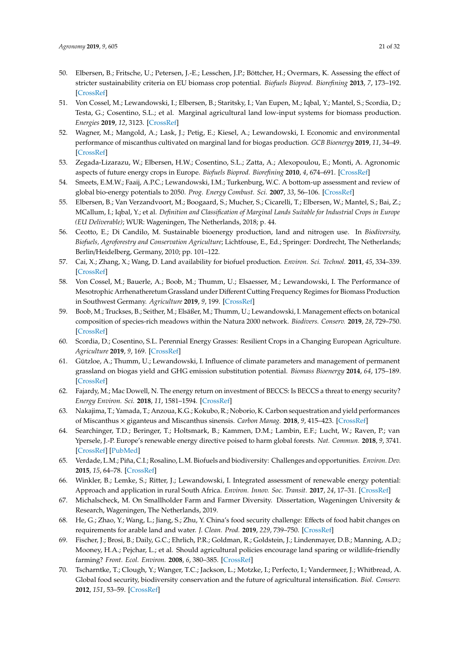- 50. Elbersen, B.; Fritsche, U.; Petersen, J.-E.; Lesschen, J.P.; Böttcher, H.; Overmars, K. Assessing the effect of stricter sustainability criteria on EU biomass crop potential. *Biofuels Bioprod. Biorefining* **2013**, *7*, 173–192. [CrossRef]
- 51. Von Cossel, M.; Lewandowski, I.; Elbersen, B.; Staritsky, I.; Van Eupen, M.; Iqbal, Y.; Mantel, S.; Scordia, D.; Testa, G.; Cosentino, S.L.; et al. Marginal agricultural land low-input systems for biomass production. *Energies* **2019**, *12*, 3123. [CrossRef]
- 52. Wagner, M.; Mangold, A.; Lask, J.; Petig, E.; Kiesel, A.; Lewandowski, I. Economic and environmental performance of miscanthus cultivated on marginal land for biogas production. *GCB Bioenergy* **2019**, *11*, 34–49. [CrossRef]
- 53. Zegada-Lizarazu, W.; Elbersen, H.W.; Cosentino, S.L.; Zatta, A.; Alexopoulou, E.; Monti, A. Agronomic aspects of future energy crops in Europe. *Biofuels Bioprod. Biorefining* **2010**, *4*, 674–691. [CrossRef]
- 54. Smeets, E.M.W.; Faaij, A.P.C.; Lewandowski, I.M.; Turkenburg, W.C. A bottom-up assessment and review of global bio-energy potentials to 2050. *Prog. Energy Combust. Sci.* **2007**, *33*, 56–106. [CrossRef]
- 55. Elbersen, B.; Van Verzandvoort, M.; Boogaard, S.; Mucher, S.; Cicarelli, T.; Elbersen, W.; Mantel, S.; Bai, Z.; MCallum, I.; Iqbal, Y.; et al. *Definition and Classification of Marginal Lands Suitable for Industrial Crops in Europe (EU Deliverable)*; WUR: Wageningen, The Netherlands, 2018; p. 44.
- 56. Ceotto, E.; Di Candilo, M. Sustainable bioenergy production, land and nitrogen use. In *Biodiversity, Biofuels, Agroforestry and Conservation Agriculture*; Lichtfouse, E., Ed.; Springer: Dordrecht, The Netherlands; Berlin/Heidelberg, Germany, 2010; pp. 101–122.
- 57. Cai, X.; Zhang, X.; Wang, D. Land availability for biofuel production. *Environ. Sci. Technol.* **2011**, *45*, 334–339. [CrossRef]
- 58. Von Cossel, M.; Bauerle, A.; Boob, M.; Thumm, U.; Elsaesser, M.; Lewandowski, I. The Performance of Mesotrophic Arrhenatheretum Grassland under Different Cutting Frequency Regimes for Biomass Production in Southwest Germany. *Agriculture* **2019**, *9*, 199. [CrossRef]
- 59. Boob, M.; Truckses, B.; Seither, M.; Elsäßer, M.; Thumm, U.; Lewandowski, I. Management effects on botanical composition of species-rich meadows within the Natura 2000 network. *Biodivers. Conserv.* **2019**, *28*, 729–750. [CrossRef]
- 60. Scordia, D.; Cosentino, S.L. Perennial Energy Grasses: Resilient Crops in a Changing European Agriculture. *Agriculture* **2019**, *9*, 169. [CrossRef]
- 61. Gützloe, A.; Thumm, U.; Lewandowski, I. Influence of climate parameters and management of permanent grassland on biogas yield and GHG emission substitution potential. *Biomass Bioenergy* **2014**, *64*, 175–189. [CrossRef]
- 62. Fajardy, M.; Mac Dowell, N. The energy return on investment of BECCS: Is BECCS a threat to energy security? *Energy Environ. Sci.* **2018**, *11*, 1581–1594. [CrossRef]
- 63. Nakajima, T.; Yamada, T.; Anzoua, K.G.; Kokubo, R.; Noborio, K. Carbon sequestration and yield performances of Miscanthus × giganteus and Miscanthus sinensis. *Carbon Manag.* **2018**, *9*, 415–423. [CrossRef]
- 64. Searchinger, T.D.; Beringer, T.; Holtsmark, B.; Kammen, D.M.; Lambin, E.F.; Lucht, W.; Raven, P.; van Ypersele, J.-P. Europe's renewable energy directive poised to harm global forests. *Nat. Commun.* **2018**, *9*, 3741. [CrossRef] [PubMed]
- 65. Verdade, L.M.; Piña, C.I.; Rosalino, L.M. Biofuels and biodiversity: Challenges and opportunities. *Environ. Dev.* **2015**, *15*, 64–78. [CrossRef]
- 66. Winkler, B.; Lemke, S.; Ritter, J.; Lewandowski, I. Integrated assessment of renewable energy potential: Approach and application in rural South Africa. *Environ. Innov. Soc. Transit.* **2017**, *24*, 17–31. [CrossRef]
- 67. Michalscheck, M. On Smallholder Farm and Farmer Diversity. Dissertation, Wageningen University & Research, Wageningen, The Netherlands, 2019.
- 68. He, G.; Zhao, Y.; Wang, L.; Jiang, S.; Zhu, Y. China's food security challenge: Effects of food habit changes on requirements for arable land and water. *J. Clean. Prod.* **2019**, *229*, 739–750. [CrossRef]
- 69. Fischer, J.; Brosi, B.; Daily, G.C.; Ehrlich, P.R.; Goldman, R.; Goldstein, J.; Lindenmayer, D.B.; Manning, A.D.; Mooney, H.A.; Pejchar, L.; et al. Should agricultural policies encourage land sparing or wildlife-friendly farming? *Front. Ecol. Environ.* **2008**, *6*, 380–385. [CrossRef]
- 70. Tscharntke, T.; Clough, Y.; Wanger, T.C.; Jackson, L.; Motzke, I.; Perfecto, I.; Vandermeer, J.; Whitbread, A. Global food security, biodiversity conservation and the future of agricultural intensification. *Biol. Conserv.* **2012**, *151*, 53–59. [CrossRef]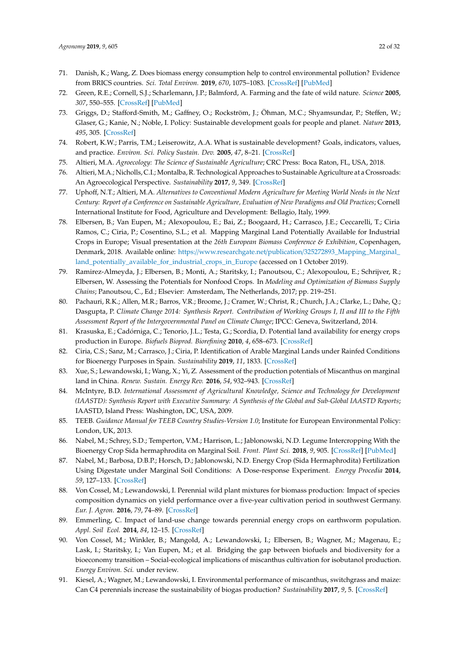- 71. Danish, K.; Wang, Z. Does biomass energy consumption help to control environmental pollution? Evidence from BRICS countries. *Sci. Total Environ.* **2019**, *670*, 1075–1083. [CrossRef] [PubMed]
- 72. Green, R.E.; Cornell, S.J.; Scharlemann, J.P.; Balmford, A. Farming and the fate of wild nature. *Science* **2005**, *307*, 550–555. [CrossRef] [PubMed]
- 73. Griggs, D.; Stafford-Smith, M.; Gaffney, O.; Rockström, J.; Öhman, M.C.; Shyamsundar, P.; Steffen, W.; Glaser, G.; Kanie, N.; Noble, I. Policy: Sustainable development goals for people and planet. *Nature* **2013**, *495*, 305. [CrossRef]
- 74. Robert, K.W.; Parris, T.M.; Leiserowitz, A.A. What is sustainable development? Goals, indicators, values, and practice. *Environ. Sci. Policy Sustain. Dev.* **2005**, *47*, 8–21. [CrossRef]
- 75. Altieri, M.A. *Agroecology: The Science of Sustainable Agriculture*; CRC Press: Boca Raton, FL, USA, 2018.
- 76. Altieri, M.A.; Nicholls, C.I.; Montalba, R. Technological Approaches to Sustainable Agriculture at a Crossroads: An Agroecological Perspective. *Sustainability* **2017**, *9*, 349. [CrossRef]
- 77. Uphoff, N.T.; Altieri, M.A. *Alternatives to Conventional Modern Agriculture for Meeting World Needs in the Next Century: Report of a Conference on Sustainable Agriculture, Evaluation of New Paradigms and Old Practices*; Cornell International Institute for Food, Agriculture and Development: Bellagio, Italy, 1999.
- 78. Elbersen, B.; Van Eupen, M.; Alexopoulou, E.; Bai, Z.; Boogaard, H.; Carrasco, J.E.; Ceccarelli, T.; Ciria Ramos, C.; Ciria, P.; Cosentino, S.L.; et al. Mapping Marginal Land Potentially Available for Industrial Crops in Europe; Visual presentation at the *26th European Biomass Conference & Exhibition*, Copenhagen, Denmark, 2018. Available online: https://www.researchgate.net/publication/325272893\_Mapping\_Marginal\_ land\_potentially\_available\_for\_industrial\_crops\_in\_Europe (accessed on 1 October 2019).
- 79. Ramirez-Almeyda, J.; Elbersen, B.; Monti, A.; Staritsky, I.; Panoutsou, C.; Alexopoulou, E.; Schrijver, R.; Elbersen, W. Assessing the Potentials for Nonfood Crops. In *Modeling and Optimization of Biomass Supply Chains*; Panoutsou, C., Ed.; Elsevier: Amsterdam, The Netherlands, 2017; pp. 219–251.
- 80. Pachauri, R.K.; Allen, M.R.; Barros, V.R.; Broome, J.; Cramer, W.; Christ, R.; Church, J.A.; Clarke, L.; Dahe, Q.; Dasgupta, P. *Climate Change 2014: Synthesis Report. Contribution of Working Groups I, II and III to the Fifth Assessment Report of the Intergovernmental Panel on Climate Change*; IPCC: Geneva, Switzerland, 2014.
- 81. Krasuska, E.; Cadórniga, C.; Tenorio, J.L.; Testa, G.; Scordia, D. Potential land availability for energy crops production in Europe. *Biofuels Bioprod. Biorefining* **2010**, *4*, 658–673. [CrossRef]
- 82. Ciria, C.S.; Sanz, M.; Carrasco, J.; Ciria, P. Identification of Arable Marginal Lands under Rainfed Conditions for Bioenergy Purposes in Spain. *Sustainability* **2019**, *11*, 1833. [CrossRef]
- 83. Xue, S.; Lewandowski, I.; Wang, X.; Yi, Z. Assessment of the production potentials of Miscanthus on marginal land in China. *Renew. Sustain. Energy Rev.* **2016**, *54*, 932–943. [CrossRef]
- 84. McIntyre, B.D. *International Assessment of Agricultural Knowledge, Science and Technology for Development (IAASTD): Synthesis Report with Executive Summary: A Synthesis of the Global and Sub-Global IAASTD Reports*; IAASTD, Island Press: Washington, DC, USA, 2009.
- 85. TEEB. *Guidance Manual for TEEB Country Studies-Version 1.0*; Institute for European Environmental Policy: London, UK, 2013.
- 86. Nabel, M.; Schrey, S.D.; Temperton, V.M.; Harrison, L.; Jablonowski, N.D. Legume Intercropping With the Bioenergy Crop Sida hermaphrodita on Marginal Soil. *Front. Plant Sci.* **2018**, *9*, 905. [CrossRef] [PubMed]
- 87. Nabel, M.; Barbosa, D.B.P.; Horsch, D.; Jablonowski, N.D. Energy Crop (Sida Hermaphrodita) Fertilization Using Digestate under Marginal Soil Conditions: A Dose-response Experiment. *Energy Procedia* **2014**, *59*, 127–133. [CrossRef]
- 88. Von Cossel, M.; Lewandowski, I. Perennial wild plant mixtures for biomass production: Impact of species composition dynamics on yield performance over a five-year cultivation period in southwest Germany. *Eur. J. Agron.* **2016**, *79*, 74–89. [CrossRef]
- 89. Emmerling, C. Impact of land-use change towards perennial energy crops on earthworm population. *Appl. Soil Ecol.* **2014**, *84*, 12–15. [CrossRef]
- 90. Von Cossel, M.; Winkler, B.; Mangold, A.; Lewandowski, I.; Elbersen, B.; Wagner, M.; Magenau, E.; Lask, I.; Staritsky, I.; Van Eupen, M.; et al. Bridging the gap between biofuels and biodiversity for a bioeconomy transition – Social-ecological implications of miscanthus cultivation for isobutanol production. *Energy Environ. Sci.* under review.
- 91. Kiesel, A.; Wagner, M.; Lewandowski, I. Environmental performance of miscanthus, switchgrass and maize: Can C4 perennials increase the sustainability of biogas production? *Sustainability* **2017**, *9*, 5. [CrossRef]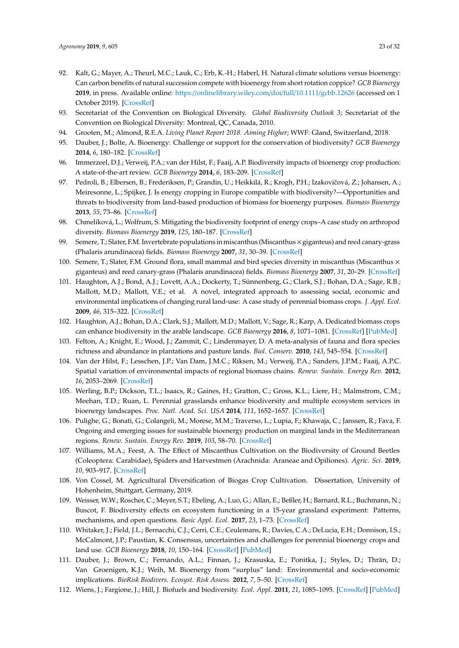- 92. Kalt, G.; Mayer, A.; Theurl, M.C.; Lauk, C.; Erb, K.-H.; Haberl, H. Natural climate solutions versus bioenergy: Can carbon benefits of natural succession compete with bioenergy from short rotation coppice? *GCB Bioenergy* **2019**, in press. Available online: https://onlinelibrary.wiley.com/doi/full/10.1111/gcbb.12626 (accessed on 1 October 2019). [CrossRef]
- 93. Secretariat of the Convention on Biological Diversity. *Global Biodiversity Outlook 3*; Secretariat of the Convention on Biological Diversity: Montreal, QC, Canada, 2010.
- 94. Grooten, M.; Almond, R.E.A. *Living Planet Report 2018. Aiming Higher*; WWF: Gland, Switzerland, 2018.
- 95. Dauber, J.; Bolte, A. Bioenergy: Challenge or support for the conservation of biodiversity? *GCB Bioenergy* **2014**, *6*, 180–182. [CrossRef]
- 96. Immerzeel, D.J.; Verweij, P.A.; van der Hilst, F.; Faaij, A.P. Biodiversity impacts of bioenergy crop production: A state-of-the-art review. *GCB Bioenergy* **2014**, *6*, 183–209. [CrossRef]
- 97. Pedroli, B.; Elbersen, B.; Frederiksen, P.; Grandin, U.; Heikkilä, R.; Krogh, P.H.; Izakovičová, Z.; Johansen, A.; Meiresonne, L.; Spijker, J. Is energy cropping in Europe compatible with biodiversity?—Opportunities and threats to biodiversity from land-based production of biomass for bioenergy purposes. *Biomass Bioenergy* **2013**, *55*, 73–86. [CrossRef]
- 98. Chmelíková, L.; Wolfrum, S. Mitigating the biodiversity footprint of energy crops–A case study on arthropod diversity. *Biomass Bioenergy* **2019**, *125*, 180–187. [CrossRef]
- 99. Semere, T.; Slater, F.M. Invertebrate populations in miscanthus (Miscanthus  $\times$  giganteus) and reed canary-grass (Phalaris arundinacea) fields. *Biomass Bioenergy* **2007**, *31*, 30–39. [CrossRef]
- 100. Semere, T.; Slater, F.M. Ground flora, small mammal and bird species diversity in miscanthus (Miscanthus  $\times$ giganteus) and reed canary-grass (Phalaris arundinacea) fields. *Biomass Bioenergy* **2007**, *31*, 20–29. [CrossRef]
- 101. Haughton, A.J.; Bond, A.J.; Lovett, A.A.; Dockerty, T.; Sünnenberg, G.; Clark, S.J.; Bohan, D.A.; Sage, R.B.; Mallott, M.D.; Mallott, V.E.; et al. A novel, integrated approach to assessing social, economic and environmental implications of changing rural land-use: A case study of perennial biomass crops. *J. Appl. Ecol.* **2009**, *46*, 315–322. [CrossRef]
- 102. Haughton, A.J.; Bohan, D.A.; Clark, S.J.; Mallott, M.D.; Mallott, V.; Sage, R.; Karp, A. Dedicated biomass crops can enhance biodiversity in the arable landscape. *GCB Bioenergy* **2016**, *8*, 1071–1081. [CrossRef] [PubMed]
- 103. Felton, A.; Knight, E.; Wood, J.; Zammit, C.; Lindenmayer, D. A meta-analysis of fauna and flora species richness and abundance in plantations and pasture lands. *Biol. Conserv.* **2010**, *143*, 545–554. [CrossRef]
- 104. Van der Hilst, F.; Lesschen, J.P.; Van Dam, J.M.C.; Riksen, M.; Verweij, P.A.; Sanders, J.P.M.; Faaij, A.P.C. Spatial variation of environmental impacts of regional biomass chains. *Renew. Sustain. Energy Rev.* **2012**, *16*, 2053–2069. [CrossRef]
- 105. Werling, B.P.; Dickson, T.L.; Isaacs, R.; Gaines, H.; Gratton, C.; Gross, K.L.; Liere, H.; Malmstrom, C.M.; Meehan, T.D.; Ruan, L. Perennial grasslands enhance biodiversity and multiple ecosystem services in bioenergy landscapes. *Proc. Natl. Acad. Sci. USA* **2014**, *111*, 1652–1657. [CrossRef]
- 106. Pulighe, G.; Bonati, G.; Colangeli, M.; Morese, M.M.; Traverso, L.; Lupia, F.; Khawaja, C.; Janssen, R.; Fava, F. Ongoing and emerging issues for sustainable bioenergy production on marginal lands in the Mediterranean regions. *Renew. Sustain. Energy Rev.* **2019**, *103*, 58–70. [CrossRef]
- 107. Williams, M.A.; Feest, A. The Effect of Miscanthus Cultivation on the Biodiversity of Ground Beetles (Coleoptera: Carabidae), Spiders and Harvestmen (Arachnida: Araneae and Opiliones). *Agric. Sci.* **2019**, *10*, 903–917. [CrossRef]
- 108. Von Cossel, M. Agricultural Diversification of Biogas Crop Cultivation. Dissertation, University of Hohenheim, Stuttgart, Germany, 2019.
- 109. Weisser, W.W.; Roscher, C.; Meyer, S.T.; Ebeling, A.; Luo, G.; Allan, E.; Beßler, H.; Barnard, R.L.; Buchmann, N.; Buscot, F. Biodiversity effects on ecosystem functioning in a 15-year grassland experiment: Patterns, mechanisms, and open questions. *Basic Appl. Ecol.* **2017**, *23*, 1–73. [CrossRef]
- 110. Whitaker, J.; Field, J.L.; Bernacchi, C.J.; Cerri, C.E.; Ceulemans, R.; Davies, C.A.; DeLucia, E.H.; Donnison, I.S.; McCalmont, J.P.; Paustian, K. Consensus, uncertainties and challenges for perennial bioenergy crops and land use. *GCB Bioenergy* **2018**, *10*, 150–164. [CrossRef] [PubMed]
- 111. Dauber, J.; Brown, C.; Fernando, A.L.; Finnan, J.; Krasuska, E.; Ponitka, J.; Styles, D.; Thrän, D.; Van Groenigen, K.J.; Weih, M. Bioenergy from "surplus" land: Environmental and socio-economic implications. *BioRisk Biodivers. Ecosyst. Risk Assess.* **2012**, *7*, 5–50. [CrossRef]
- 112. Wiens, J.; Fargione, J.; Hill, J. Biofuels and biodiversity. *Ecol. Appl.* **2011**, *21*, 1085–1095. [CrossRef] [PubMed]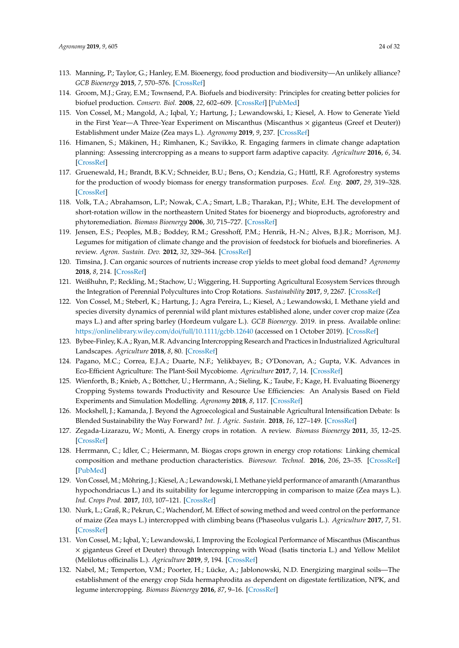- 113. Manning, P.; Taylor, G.; Hanley, E.M. Bioenergy, food production and biodiversity—An unlikely alliance? *GCB Bioenergy* **2015**, *7*, 570–576. [CrossRef]
- 114. Groom, M.J.; Gray, E.M.; Townsend, P.A. Biofuels and biodiversity: Principles for creating better policies for biofuel production. *Conserv. Biol.* **2008**, *22*, 602–609. [CrossRef] [PubMed]
- 115. Von Cossel, M.; Mangold, A.; Iqbal, Y.; Hartung, J.; Lewandowski, I.; Kiesel, A. How to Generate Yield in the First Year—A Three-Year Experiment on Miscanthus (Miscanthus × giganteus (Greef et Deuter)) Establishment under Maize (Zea mays L.). *Agronomy* **2019**, *9*, 237. [CrossRef]
- 116. Himanen, S.; Mäkinen, H.; Rimhanen, K.; Savikko, R. Engaging farmers in climate change adaptation planning: Assessing intercropping as a means to support farm adaptive capacity. *Agriculture* **2016**, *6*, 34. [CrossRef]
- 117. Gruenewald, H.; Brandt, B.K.V.; Schneider, B.U.; Bens, O.; Kendzia, G.; Hüttl, R.F. Agroforestry systems for the production of woody biomass for energy transformation purposes. *Ecol. Eng.* **2007**, *29*, 319–328. [CrossRef]
- 118. Volk, T.A.; Abrahamson, L.P.; Nowak, C.A.; Smart, L.B.; Tharakan, P.J.; White, E.H. The development of short-rotation willow in the northeastern United States for bioenergy and bioproducts, agroforestry and phytoremediation. *Biomass Bioenergy* **2006**, *30*, 715–727. [CrossRef]
- 119. Jensen, E.S.; Peoples, M.B.; Boddey, R.M.; Gresshoff, P.M.; Henrik, H.-N.; Alves, B.J.R.; Morrison, M.J. Legumes for mitigation of climate change and the provision of feedstock for biofuels and biorefineries. A review. *Agron. Sustain. Dev.* **2012**, *32*, 329–364. [CrossRef]
- 120. Timsina, J. Can organic sources of nutrients increase crop yields to meet global food demand? *Agronomy* **2018**, *8*, 214. [CrossRef]
- 121. Weißhuhn, P.; Reckling, M.; Stachow, U.; Wiggering, H. Supporting Agricultural Ecosystem Services through the Integration of Perennial Polycultures into Crop Rotations. *Sustainability* **2017**, *9*, 2267. [CrossRef]
- 122. Von Cossel, M.; Steberl, K.; Hartung, J.; Agra Pereira, L.; Kiesel, A.; Lewandowski, I. Methane yield and species diversity dynamics of perennial wild plant mixtures established alone, under cover crop maize (Zea mays L.) and after spring barley (Hordeum vulgare L.). *GCB Bioenergy*. 2019. in press. Available online: https://onlinelibrary.wiley.com/doi/full/10.1111/gcbb.12640 (accessed on 1 October 2019). [CrossRef]
- 123. Bybee-Finley, K.A.; Ryan, M.R. Advancing Intercropping Research and Practices in Industrialized Agricultural Landscapes. *Agriculture* **2018**, *8*, 80. [CrossRef]
- 124. Pagano, M.C.; Correa, E.J.A.; Duarte, N.F.; Yelikbayev, B.; O'Donovan, A.; Gupta, V.K. Advances in Eco-Efficient Agriculture: The Plant-Soil Mycobiome. *Agriculture* **2017**, *7*, 14. [CrossRef]
- 125. Wienforth, B.; Knieb, A.; Böttcher, U.; Herrmann, A.; Sieling, K.; Taube, F.; Kage, H. Evaluating Bioenergy Cropping Systems towards Productivity and Resource Use Efficiencies: An Analysis Based on Field Experiments and Simulation Modelling. *Agronomy* **2018**, *8*, 117. [CrossRef]
- 126. Mockshell, J.; Kamanda, J. Beyond the Agroecological and Sustainable Agricultural Intensification Debate: Is Blended Sustainability the Way Forward? *Int. J. Agric. Sustain.* **2018**, *16*, 127–149. [CrossRef]
- 127. Zegada-Lizarazu, W.; Monti, A. Energy crops in rotation. A review. *Biomass Bioenergy* **2011**, *35*, 12–25. [CrossRef]
- 128. Herrmann, C.; Idler, C.; Heiermann, M. Biogas crops grown in energy crop rotations: Linking chemical composition and methane production characteristics. *Bioresour. Technol.* **2016**, *206*, 23–35. [CrossRef] [PubMed]
- 129. Von Cossel, M.; Möhring, J.; Kiesel, A.; Lewandowski, I. Methane yield performance of amaranth (Amaranthus hypochondriacus L.) and its suitability for legume intercropping in comparison to maize (Zea mays L.). *Ind. Crops Prod.* **2017**, *103*, 107–121. [CrossRef]
- 130. Nurk, L.; Graß, R.; Pekrun, C.; Wachendorf, M. Effect of sowing method and weed control on the performance of maize (Zea mays L.) intercropped with climbing beans (Phaseolus vulgaris L.). *Agriculture* **2017**, *7*, 51. [CrossRef]
- 131. Von Cossel, M.; Iqbal, Y.; Lewandowski, I. Improving the Ecological Performance of Miscanthus (Miscanthus × giganteus Greef et Deuter) through Intercropping with Woad (Isatis tinctoria L.) and Yellow Melilot (Melilotus officinalis L.). *Agriculture* **2019**, *9*, 194. [CrossRef]
- 132. Nabel, M.; Temperton, V.M.; Poorter, H.; Lücke, A.; Jablonowski, N.D. Energizing marginal soils—The establishment of the energy crop Sida hermaphrodita as dependent on digestate fertilization, NPK, and legume intercropping. *Biomass Bioenergy* **2016**, *87*, 9–16. [CrossRef]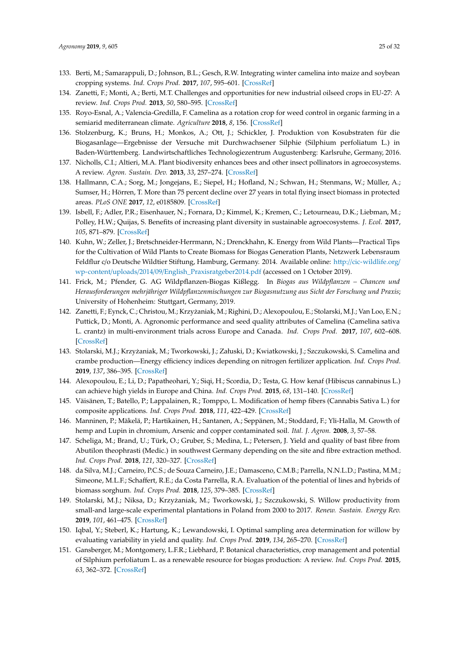- 133. Berti, M.; Samarappuli, D.; Johnson, B.L.; Gesch, R.W. Integrating winter camelina into maize and soybean cropping systems. *Ind. Crops Prod.* **2017**, *107*, 595–601. [CrossRef]
- 134. Zanetti, F.; Monti, A.; Berti, M.T. Challenges and opportunities for new industrial oilseed crops in EU-27: A review. *Ind. Crops Prod.* **2013**, *50*, 580–595. [CrossRef]
- 135. Royo-Esnal, A.; Valencia-Gredilla, F. Camelina as a rotation crop for weed control in organic farming in a semiarid mediterranean climate. *Agriculture* **2018**, *8*, 156. [CrossRef]
- 136. Stolzenburg, K.; Bruns, H.; Monkos, A.; Ott, J.; Schickler, J. Produktion von Kosubstraten für die Biogasanlage—Ergebnisse der Versuche mit Durchwachsener Silphie (Silphium perfoliatum L.) in Baden-Württemberg. Landwirtschaftliches Technologiezentrum Augustenberg: Karlsruhe, Germany, 2016.
- 137. Nicholls, C.I.; Altieri, M.A. Plant biodiversity enhances bees and other insect pollinators in agroecosystems. A review. *Agron. Sustain. Dev.* **2013**, *33*, 257–274. [CrossRef]
- 138. Hallmann, C.A.; Sorg, M.; Jongejans, E.; Siepel, H.; Hofland, N.; Schwan, H.; Stenmans, W.; Müller, A.; Sumser, H.; Hörren, T. More than 75 percent decline over 27 years in total flying insect biomass in protected areas. *PLoS ONE* **2017**, *12*, e0185809. [CrossRef]
- 139. Isbell, F.; Adler, P.R.; Eisenhauer, N.; Fornara, D.; Kimmel, K.; Kremen, C.; Letourneau, D.K.; Liebman, M.; Polley, H.W.; Quijas, S. Benefits of increasing plant diversity in sustainable agroecosystems. *J. Ecol.* **2017**, *105*, 871–879. [CrossRef]
- 140. Kuhn, W.; Zeller, J.; Bretschneider-Herrmann, N.; Drenckhahn, K. Energy from Wild Plants—Practical Tips for the Cultivation of Wild Plants to Create Biomass for Biogas Generation Plants, Netzwerk Lebensraum Feldflur c/o Deutsche Wildtier Stiftung, Hamburg, Germany. 2014. Available online: http://cic-wildlife.org/ wp-content/uploads/2014/09/English\_Praxisratgeber2014.pdf (accessed on 1 October 2019).
- 141. Frick, M.; Pfender, G. AG Wildpflanzen-Biogas Kißlegg. In *Biogas aus Wildpflanzen Chancen und Herausforderungen mehrjähriger Wildpflanzenmischungen zur Biogasnutzung aus Sicht der Forschung und Praxis*; University of Hohenheim: Stuttgart, Germany, 2019.
- 142. Zanetti, F.; Eynck, C.; Christou, M.; Krzyżaniak, M.; Righini, D.; Alexopoulou, E.; Stolarski, M.J.; Van Loo, E.N.; Puttick, D.; Monti, A. Agronomic performance and seed quality attributes of Camelina (Camelina sativa L. crantz) in multi-environment trials across Europe and Canada. *Ind. Crops Prod.* **2017**, *107*, 602–608. [CrossRef]
- 143. Stolarski, M.J.; Krzyżaniak, M.; Tworkowski, J.; Załuski, D.; Kwiatkowski, J.; Szczukowski, S. Camelina and crambe production—Energy efficiency indices depending on nitrogen fertilizer application. *Ind. Crops Prod.* **2019**, *137*, 386–395. [CrossRef]
- 144. Alexopoulou, E.; Li, D.; Papatheohari, Y.; Siqi, H.; Scordia, D.; Testa, G. How kenaf (Hibiscus cannabinus L.) can achieve high yields in Europe and China. *Ind. Crops Prod.* **2015**, *68*, 131–140. [CrossRef]
- 145. Väisänen, T.; Batello, P.; Lappalainen, R.; Tomppo, L. Modification of hemp fibers (Cannabis Sativa L.) for composite applications. *Ind. Crops Prod.* **2018**, *111*, 422–429. [CrossRef]
- 146. Manninen, P.; Mäkelä, P.; Hartikainen, H.; Santanen, A.; Seppänen, M.; Stoddard, F.; Yli-Halla, M. Growth of hemp and Lupin in chromium, Arsenic and copper contaminated soil. *Ital. J. Agron.* **2008**, *3*, 57–58.
- 147. Scheliga, M.; Brand, U.; Türk, O.; Gruber, S.; Medina, L.; Petersen, J. Yield and quality of bast fibre from Abutilon theophrasti (Medic.) in southwest Germany depending on the site and fibre extraction method. *Ind. Crops Prod.* **2018**, *121*, 320–327. [CrossRef]
- 148. da Silva, M.J.; Carneiro, P.C.S.; de Souza Carneiro, J.E.; Damasceno, C.M.B.; Parrella, N.N.L.D.; Pastina, M.M.; Simeone, M.L.F.; Schaffert, R.E.; da Costa Parrella, R.A. Evaluation of the potential of lines and hybrids of biomass sorghum. *Ind. Crops Prod.* **2018**, *125*, 379–385. [CrossRef]
- 149. Stolarski, M.J.; Niksa, D.; Krzyżaniak, M.; Tworkowski, J.; Szczukowski, S. Willow productivity from small-and large-scale experimental plantations in Poland from 2000 to 2017. *Renew. Sustain. Energy Rev.* **2019**, *101*, 461–475. [CrossRef]
- 150. Iqbal, Y.; Steberl, K.; Hartung, K.; Lewandowski, I. Optimal sampling area determination for willow by evaluating variability in yield and quality. *Ind. Crops Prod.* **2019**, *134*, 265–270. [CrossRef]
- 151. Gansberger, M.; Montgomery, L.F.R.; Liebhard, P. Botanical characteristics, crop management and potential of Silphium perfoliatum L. as a renewable resource for biogas production: A review. *Ind. Crops Prod.* **2015**, *63*, 362–372. [CrossRef]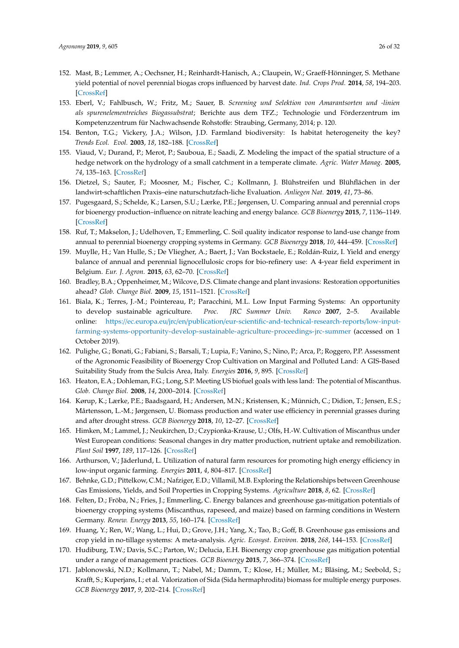- 152. Mast, B.; Lemmer, A.; Oechsner, H.; Reinhardt-Hanisch, A.; Claupein, W.; Graeff-Hönninger, S. Methane yield potential of novel perennial biogas crops influenced by harvest date. *Ind. Crops Prod.* **2014**, *58*, 194–203. [CrossRef]
- 153. Eberl, V.; Fahlbusch, W.; Fritz, M.; Sauer, B. *Screening und Selektion von Amarantsorten und -linien als spurenelementreiches Biogassubstrat*; Berichte aus dem TFZ.; Technologie und Förderzentrum im Kompetenzzentrum für Nachwachsende Rohstoffe: Straubing, Germany, 2014; p. 120.
- 154. Benton, T.G.; Vickery, J.A.; Wilson, J.D. Farmland biodiversity: Is habitat heterogeneity the key? *Trends Ecol. Evol.* **2003**, *18*, 182–188. [CrossRef]
- 155. Viaud, V.; Durand, P.; Merot, P.; Sauboua, E.; Saadi, Z. Modeling the impact of the spatial structure of a hedge network on the hydrology of a small catchment in a temperate climate. *Agric. Water Manag.* **2005**, *74*, 135–163. [CrossRef]
- 156. Dietzel, S.; Sauter, F.; Moosner, M.; Fischer, C.; Kollmann, J. Blühstreifen und Blühflächen in der landwirt-schaftlichen Praxis–eine naturschutzfach-liche Evaluation. *Anliegen Nat.* **2019**, *41*, 73–86.
- 157. Pugesgaard, S.; Schelde, K.; Larsen, S.U.; Lærke, P.E.; Jørgensen, U. Comparing annual and perennial crops for bioenergy production–influence on nitrate leaching and energy balance. *GCB Bioenergy* **2015**, *7*, 1136–1149. [CrossRef]
- 158. Ruf, T.; Makselon, J.; Udelhoven, T.; Emmerling, C. Soil quality indicator response to land-use change from annual to perennial bioenergy cropping systems in Germany. *GCB Bioenergy* **2018**, *10*, 444–459. [CrossRef]
- 159. Muylle, H.; Van Hulle, S.; De Vliegher, A.; Baert, J.; Van Bockstaele, E.; Roldán-Ruiz, I. Yield and energy balance of annual and perennial lignocellulosic crops for bio-refinery use: A 4-year field experiment in Belgium. *Eur. J. Agron.* **2015**, *63*, 62–70. [CrossRef]
- 160. Bradley, B.A.; Oppenheimer, M.; Wilcove, D.S. Climate change and plant invasions: Restoration opportunities ahead? *Glob. Change Biol.* **2009**, *15*, 1511–1521. [CrossRef]
- 161. Biala, K.; Terres, J.-M.; Pointereau, P.; Paracchini, M.L. Low Input Farming Systems: An opportunity to develop sustainable agriculture. *Proc. JRC Summer Univ. Ranco* **2007**, 2–5. Available online: https://ec.europa.eu/jrc/en/publication/eur-scientific-and-technical-research-reports/low-inputfarming-systems-opportunity-develop-sustainable-agriculture-proceedings-jrc-summer (accessed on 1 October 2019).
- 162. Pulighe, G.; Bonati, G.; Fabiani, S.; Barsali, T.; Lupia, F.; Vanino, S.; Nino, P.; Arca, P.; Roggero, P.P. Assessment of the Agronomic Feasibility of Bioenergy Crop Cultivation on Marginal and Polluted Land: A GIS-Based Suitability Study from the Sulcis Area, Italy. *Energies* **2016**, *9*, 895. [CrossRef]
- 163. Heaton, E.A.; Dohleman, F.G.; Long, S.P. Meeting US biofuel goals with less land: The potential of Miscanthus. *Glob. Change Biol.* **2008**, *14*, 2000–2014. [CrossRef]
- 164. Kørup, K.; Lærke, P.E.; Baadsgaard, H.; Andersen, M.N.; Kristensen, K.; Münnich, C.; Didion, T.; Jensen, E.S.; Mårtensson, L.-M.; Jørgensen, U. Biomass production and water use efficiency in perennial grasses during and after drought stress. *GCB Bioenergy* **2018**, *10*, 12–27. [CrossRef]
- 165. Himken, M.; Lammel, J.; Neukirchen, D.; Czypionka-Krause, U.; Olfs, H.-W. Cultivation of Miscanthus under West European conditions: Seasonal changes in dry matter production, nutrient uptake and remobilization. *Plant Soil* **1997**, *189*, 117–126. [CrossRef]
- 166. Arthurson, V.; Jäderlund, L. Utilization of natural farm resources for promoting high energy efficiency in low-input organic farming. *Energies* **2011**, *4*, 804–817. [CrossRef]
- 167. Behnke, G.D.; Pittelkow, C.M.; Nafziger, E.D.; Villamil, M.B. Exploring the Relationships between Greenhouse Gas Emissions, Yields, and Soil Properties in Cropping Systems. *Agriculture* **2018**, *8*, 62. [CrossRef]
- 168. Felten, D.; Fröba, N.; Fries, J.; Emmerling, C. Energy balances and greenhouse gas-mitigation potentials of bioenergy cropping systems (Miscanthus, rapeseed, and maize) based on farming conditions in Western Germany. *Renew. Energy* **2013**, *55*, 160–174. [CrossRef]
- 169. Huang, Y.; Ren, W.; Wang, L.; Hui, D.; Grove, J.H.; Yang, X.; Tao, B.; Goff, B. Greenhouse gas emissions and crop yield in no-tillage systems: A meta-analysis. *Agric. Ecosyst. Environ.* **2018**, *268*, 144–153. [CrossRef]
- 170. Hudiburg, T.W.; Davis, S.C.; Parton, W.; Delucia, E.H. Bioenergy crop greenhouse gas mitigation potential under a range of management practices. *GCB Bioenergy* **2015**, *7*, 366–374. [CrossRef]
- 171. Jablonowski, N.D.; Kollmann, T.; Nabel, M.; Damm, T.; Klose, H.; Müller, M.; Bläsing, M.; Seebold, S.; Krafft, S.; Kuperjans, I.; et al. Valorization of Sida (Sida hermaphrodita) biomass for multiple energy purposes. *GCB Bioenergy* **2017**, *9*, 202–214. [CrossRef]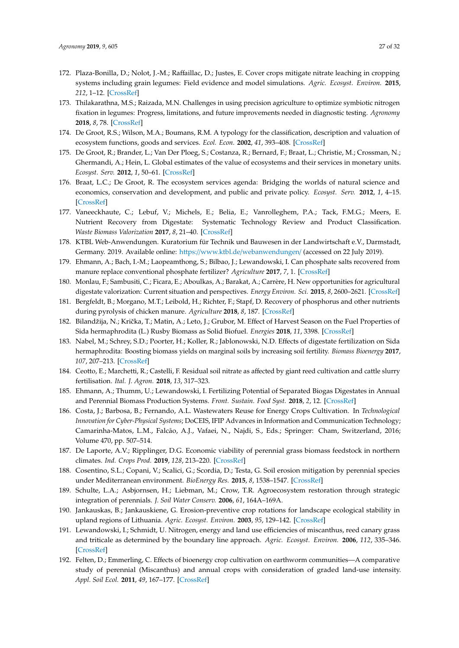- 172. Plaza-Bonilla, D.; Nolot, J.-M.; Raffaillac, D.; Justes, E. Cover crops mitigate nitrate leaching in cropping systems including grain legumes: Field evidence and model simulations. *Agric. Ecosyst. Environ.* **2015**, *212*, 1–12. [CrossRef]
- 173. Thilakarathna, M.S.; Raizada, M.N. Challenges in using precision agriculture to optimize symbiotic nitrogen fixation in legumes: Progress, limitations, and future improvements needed in diagnostic testing. *Agronomy* **2018**, *8*, 78. [CrossRef]
- 174. De Groot, R.S.; Wilson, M.A.; Boumans, R.M. A typology for the classification, description and valuation of ecosystem functions, goods and services. *Ecol. Econ.* **2002**, *41*, 393–408. [CrossRef]
- 175. De Groot, R.; Brander, L.; Van Der Ploeg, S.; Costanza, R.; Bernard, F.; Braat, L.; Christie, M.; Crossman, N.; Ghermandi, A.; Hein, L. Global estimates of the value of ecosystems and their services in monetary units. *Ecosyst. Serv.* **2012**, *1*, 50–61. [CrossRef]
- 176. Braat, L.C.; De Groot, R. The ecosystem services agenda: Bridging the worlds of natural science and economics, conservation and development, and public and private policy. *Ecosyst. Serv.* **2012**, *1*, 4–15. [CrossRef]
- 177. Vaneeckhaute, C.; Lebuf, V.; Michels, E.; Belia, E.; Vanrolleghem, P.A.; Tack, F.M.G.; Meers, E. Nutrient Recovery from Digestate: Systematic Technology Review and Product Classification. *Waste Biomass Valorization* **2017**, *8*, 21–40. [CrossRef]
- 178. KTBL Web-Anwendungen. Kuratorium für Technik und Bauwesen in der Landwirtschaft e.V., Darmstadt, Germany. 2019. Available online: https://www.ktbl.de/webanwendungen/ (accessed on 22 July 2019).
- 179. Ehmann, A.; Bach, I.-M.; Laopeamthong, S.; Bilbao, J.; Lewandowski, I. Can phosphate salts recovered from manure replace conventional phosphate fertilizer? *Agriculture* **2017**, *7*, 1. [CrossRef]
- 180. Monlau, F.; Sambusiti, C.; Ficara, E.; Aboulkas, A.; Barakat, A.; Carrère, H. New opportunities for agricultural digestate valorization: Current situation and perspectives. *Energy Environ. Sci.* **2015**, *8*, 2600–2621. [CrossRef]
- 181. Bergfeldt, B.; Morgano, M.T.; Leibold, H.; Richter, F.; Stapf, D. Recovery of phosphorus and other nutrients during pyrolysis of chicken manure. *Agriculture* **2018**, *8*, 187. [CrossRef]
- 182. Bilandžija, N.; Kriˇcka, T.; Matin, A.; Leto, J.; Grubor, M. Effect of Harvest Season on the Fuel Properties of Sida hermaphrodita (L.) Rusby Biomass as Solid Biofuel. *Energies* **2018**, *11*, 3398. [CrossRef]
- 183. Nabel, M.; Schrey, S.D.; Poorter, H.; Koller, R.; Jablonowski, N.D. Effects of digestate fertilization on Sida hermaphrodita: Boosting biomass yields on marginal soils by increasing soil fertility. *Biomass Bioenergy* **2017**, *107*, 207–213. [CrossRef]
- 184. Ceotto, E.; Marchetti, R.; Castelli, F. Residual soil nitrate as affected by giant reed cultivation and cattle slurry fertilisation. *Ital. J. Agron.* **2018**, *13*, 317–323.
- 185. Ehmann, A.; Thumm, U.; Lewandowski, I. Fertilizing Potential of Separated Biogas Digestates in Annual and Perennial Biomass Production Systems. *Front. Sustain. Food Syst.* **2018**, *2*, 12. [CrossRef]
- 186. Costa, J.; Barbosa, B.; Fernando, A.L. Wastewaters Reuse for Energy Crops Cultivation. In *Technological Innovation for Cyber-Physical Systems*; DoCEIS, IFIP Advances in Information and Communication Technology; Camarinha-Matos, L.M., Falcão, A.J., Vafaei, N., Najdi, S., Eds.; Springer: Cham, Switzerland, 2016; Volume 470, pp. 507–514.
- 187. De Laporte, A.V.; Ripplinger, D.G. Economic viability of perennial grass biomass feedstock in northern climates. *Ind. Crops Prod.* **2019**, *128*, 213–220. [CrossRef]
- 188. Cosentino, S.L.; Copani, V.; Scalici, G.; Scordia, D.; Testa, G. Soil erosion mitigation by perennial species under Mediterranean environment. *BioEnergy Res.* **2015**, *8*, 1538–1547. [CrossRef]
- 189. Schulte, L.A.; Asbjornsen, H.; Liebman, M.; Crow, T.R. Agroecosystem restoration through strategic integration of perennials. *J. Soil Water Conserv.* **2006**, *61*, 164A–169A.
- 190. Jankauskas, B.; Jankauskiene, G. Erosion-preventive crop rotations for landscape ecological stability in upland regions of Lithuania. *Agric. Ecosyst. Environ.* **2003**, *95*, 129–142. [CrossRef]
- 191. Lewandowski, I.; Schmidt, U. Nitrogen, energy and land use efficiencies of miscanthus, reed canary grass and triticale as determined by the boundary line approach. *Agric. Ecosyst. Environ.* **2006**, *112*, 335–346. [CrossRef]
- 192. Felten, D.; Emmerling, C. Effects of bioenergy crop cultivation on earthworm communities—A comparative study of perennial (Miscanthus) and annual crops with consideration of graded land-use intensity. *Appl. Soil Ecol.* **2011**, *49*, 167–177. [CrossRef]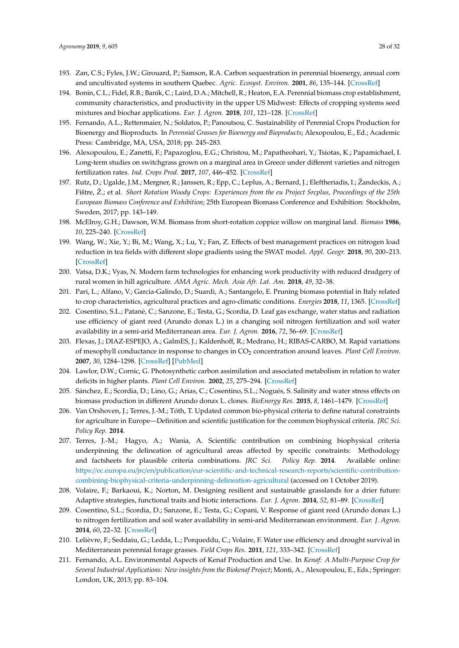- 193. Zan, C.S.; Fyles, J.W.; Girouard, P.; Samson, R.A. Carbon sequestration in perennial bioenergy, annual corn and uncultivated systems in southern Quebec. *Agric. Ecosyst. Environ.* **2001**, *86*, 135–144. [CrossRef]
- 194. Bonin, C.L.; Fidel, R.B.; Banik, C.; Laird, D.A.; Mitchell, R.; Heaton, E.A. Perennial biomass crop establishment, community characteristics, and productivity in the upper US Midwest: Effects of cropping systems seed mixtures and biochar applications. *Eur. J. Agron.* **2018**, *101*, 121–128. [CrossRef]
- 195. Fernando, A.L.; Rettenmaier, N.; Soldatos, P.; Panoutsou, C. Sustainability of Perennial Crops Production for Bioenergy and Bioproducts. In *Perennial Grasses for Bioenergy and Bioproducts*; Alexopoulou, E., Ed.; Academic Press: Cambridge, MA, USA, 2018; pp. 245–283.
- 196. Alexopoulou, E.; Zanetti, F.; Papazoglou, E.G.; Christou, M.; Papatheohari, Y.; Tsiotas, K.; Papamichael, I. Long-term studies on switchgrass grown on a marginal area in Greece under different varieties and nitrogen fertilization rates. *Ind. Crops Prod.* **2017**, *107*, 446–452. [CrossRef]
- 197. Rutz, D.; Ugalde, J.M.; Mergner, R.; Janssen, R.; Epp, C.; Leplus, A.; Bernard, J.; Eleftheriadis, I.; Žandeckis, A.; Fištre, Ž.; et al. *Short Rotation Woody Crops: Experiences from the eu Project Srcplus, Proceedings of the 25th European Biomass Conference and Exhibition*; 25th European Biomass Conference and Exhibition: Stockholm, Sweden, 2017; pp. 143–149.
- 198. McElroy, G.H.; Dawson, W.M. Biomass from short-rotation coppice willow on marginal land. *Biomass* **1986**, *10*, 225–240. [CrossRef]
- 199. Wang, W.; Xie, Y.; Bi, M.; Wang, X.; Lu, Y.; Fan, Z. Effects of best management practices on nitrogen load reduction in tea fields with different slope gradients using the SWAT model. *Appl. Geogr.* **2018**, *90*, 200–213. [CrossRef]
- 200. Vatsa, D.K.; Vyas, N. Modern farm technologies for enhancing work productivity with reduced drudgery of rural women in hill agriculture. *AMA Agric. Mech. Asia Afr. Lat. Am.* **2018**, *49*, 32–38.
- 201. Pari, L.; Alfano, V.; Garcia-Galindo, D.; Suardi, A.; Santangelo, E. Pruning biomass potential in Italy related to crop characteristics, agricultural practices and agro-climatic conditions. *Energies* **2018**, *11*, 1365. [CrossRef]
- 202. Cosentino, S.L.; Patanè, C.; Sanzone, E.; Testa, G.; Scordia, D. Leaf gas exchange, water status and radiation use efficiency of giant reed (Arundo donax L.) in a changing soil nitrogen fertilization and soil water availability in a semi-arid Mediterranean area. *Eur. J. Agron.* **2016**, *72*, 56–69. [CrossRef]
- 203. Flexas, J.; DIAZ-ESPEJO, A.; GalmES, J.; Kaldenhoff, R.; Medrano, H.; RIBAS-CARBO, M. Rapid variations of mesophyll conductance in response to changes in CO<sup>2</sup> concentration around leaves. *Plant Cell Environ.* **2007**, *30*, 1284–1298. [CrossRef] [PubMed]
- 204. Lawlor, D.W.; Cornic, G. Photosynthetic carbon assimilation and associated metabolism in relation to water deficits in higher plants. *Plant Cell Environ.* **2002**, *25*, 275–294. [CrossRef]
- 205. Sánchez, E.; Scordia, D.; Lino, G.; Arias, C.; Cosentino, S.L.; Nogués, S. Salinity and water stress effects on biomass production in different Arundo donax L. clones. *BioEnergy Res.* **2015**, *8*, 1461–1479. [CrossRef]
- 206. Van Orshoven, J.; Terres, J.-M.; Tóth, T. Updated common bio-physical criteria to define natural constraints for agriculture in Europe—Definition and scientific justification for the common biophysical criteria. *JRC Sci. Policy Rep.* **2014**.
- 207. Terres, J.-M.; Hagyo, A.; Wania, A. Scientific contribution on combining biophysical criteria underpinning the delineation of agricultural areas affected by specific constraints: Methodology and factsheets for plausible criteria combinations. *JRC Sci. Policy Rep.* **2014**. Available online: https://ec.europa.eu/jrc/en/publication/eur-scientific-and-technical-research-reports/scientific-contributioncombining-biophysical-criteria-underpinning-delineation-agricultural (accessed on 1 October 2019).
- 208. Volaire, F.; Barkaoui, K.; Norton, M. Designing resilient and sustainable grasslands for a drier future: Adaptive strategies, functional traits and biotic interactions. *Eur. J. Agron.* **2014**, *52*, 81–89. [CrossRef]
- 209. Cosentino, S.L.; Scordia, D.; Sanzone, E.; Testa, G.; Copani, V. Response of giant reed (Arundo donax L.) to nitrogen fertilization and soil water availability in semi-arid Mediterranean environment. *Eur. J. Agron.* **2014**, *60*, 22–32. [CrossRef]
- 210. Lelièvre, F.; Seddaiu, G.; Ledda, L.; Porqueddu, C.; Volaire, F. Water use efficiency and drought survival in Mediterranean perennial forage grasses. *Field Crops Res.* **2011**, *121*, 333–342. [CrossRef]
- 211. Fernando, A.L. Environmental Aspects of Kenaf Production and Use. In *Kenaf: A Multi-Purpose Crop for Several Industrial Applications: New insights from the Biokenaf Project*; Monti, A., Alexopoulou, E., Eds.; Springer: London, UK, 2013; pp. 83–104.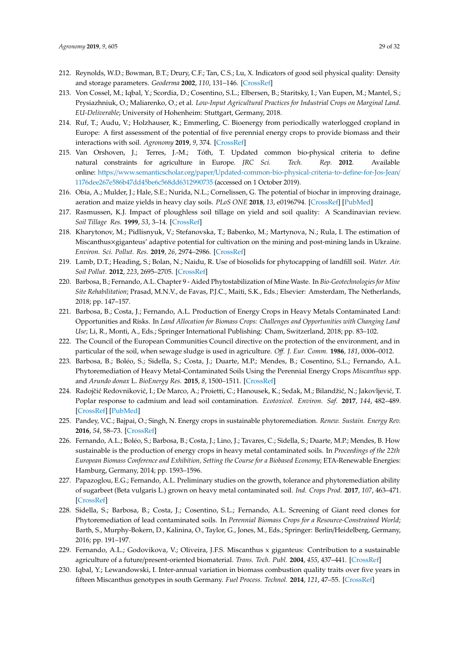- 212. Reynolds, W.D.; Bowman, B.T.; Drury, C.F.; Tan, C.S.; Lu, X. Indicators of good soil physical quality: Density and storage parameters. *Geoderma* **2002**, *110*, 131–146. [CrossRef]
- 213. Von Cossel, M.; Iqbal, Y.; Scordia, D.; Cosentino, S.L.; Elbersen, B.; Staritsky, I.; Van Eupen, M.; Mantel, S.; Prysiazhniuk, O.; Maliarenko, O.; et al. *Low-Input Agricultural Practices for Industrial Crops on Marginal Land. EU-Deliverable*; University of Hohenheim: Stuttgart, Germany, 2018.
- 214. Ruf, T.; Audu, V.; Holzhauser, K.; Emmerling, C. Bioenergy from periodically waterlogged cropland in Europe: A first assessment of the potential of five perennial energy crops to provide biomass and their interactions with soil. *Agronomy* **2019**, *9*, 374. [CrossRef]
- 215. Van Orshoven, J.; Terres, J.-M.; Tóth, T. Updated common bio-physical criteria to define natural constraints for agriculture in Europe. *JRC Sci. Tech. Rep.* **2012**. Available online: https://www.semanticscholar.org/paper/Updated-common-bio-physical-criteria-to-define-for-Jos-Jean/ 1176dee267e586b47dd45be6c568dd6312990735 (accessed on 1 October 2019).
- 216. Obia, A.; Mulder, J.; Hale, S.E.; Nurida, N.L.; Cornelissen, G. The potential of biochar in improving drainage, aeration and maize yields in heavy clay soils. *PLoS ONE* **2018**, *13*, e0196794. [CrossRef] [PubMed]
- 217. Rasmussen, K.J. Impact of ploughless soil tillage on yield and soil quality: A Scandinavian review. *Soil Tillage Res.* **1999**, *53*, 3–14. [CrossRef]
- 218. Kharytonov, M.; Pidlisnyuk, V.; Stefanovska, T.; Babenko, M.; Martynova, N.; Rula, I. The estimation of Miscanthus×giganteus' adaptive potential for cultivation on the mining and post-mining lands in Ukraine. *Environ. Sci. Pollut. Res.* **2019**, *26*, 2974–2986. [CrossRef]
- 219. Lamb, D.T.; Heading, S.; Bolan, N.; Naidu, R. Use of biosolids for phytocapping of landfill soil. *Water. Air. Soil Pollut.* **2012**, *223*, 2695–2705. [CrossRef]
- 220. Barbosa, B.; Fernando, A.L. Chapter 9 Aided Phytostabilization of Mine Waste. In *Bio-Geotechnologies for Mine Site Rehabilitation*; Prasad, M.N.V., de Favas, P.J.C., Maiti, S.K., Eds.; Elsevier: Amsterdam, The Netherlands, 2018; pp. 147–157.
- 221. Barbosa, B.; Costa, J.; Fernando, A.L. Production of Energy Crops in Heavy Metals Contaminated Land: Opportunities and Risks. In *Land Allocation for Biomass Crops: Challenges and Opportunities with Changing Land Use*; Li, R., Monti, A., Eds.; Springer International Publishing: Cham, Switzerland, 2018; pp. 83–102.
- 222. The Council of the European Communities Council directive on the protection of the environment, and in particular of the soil, when sewage sludge is used in agriculture. *O*ff*. J. Eur. Comm.* **1986**, *181*, 0006–0012.
- 223. Barbosa, B.; Boléo, S.; Sidella, S.; Costa, J.; Duarte, M.P.; Mendes, B.; Cosentino, S.L.; Fernando, A.L. Phytoremediation of Heavy Metal-Contaminated Soils Using the Perennial Energy Crops *Miscanthus* spp. and *Arundo donax* L. *BioEnergy Res.* **2015**, *8*, 1500–1511. [CrossRef]
- 224. Radojčić Redovniković, I.; De Marco, A.; Proietti, C.; Hanousek, K.; Sedak, M.; Bilandžić, N.; Jakovljević, T. Poplar response to cadmium and lead soil contamination. *Ecotoxicol. Environ. Saf.* **2017**, *144*, 482–489. [CrossRef] [PubMed]
- 225. Pandey, V.C.; Bajpai, O.; Singh, N. Energy crops in sustainable phytoremediation. *Renew. Sustain. Energy Rev.* **2016**, *54*, 58–73. [CrossRef]
- 226. Fernando, A.L.; Boléo, S.; Barbosa, B.; Costa, J.; Lino, J.; Tavares, C.; Sidella, S.; Duarte, M.P.; Mendes, B. How sustainable is the production of energy crops in heavy metal contaminated soils. In *Proceedings of the 22th European Biomass Conference and Exhibition, Setting the Course for a Biobased Economy*; ETA-Renewable Energies: Hamburg, Germany, 2014; pp. 1593–1596.
- 227. Papazoglou, E.G.; Fernando, A.L. Preliminary studies on the growth, tolerance and phytoremediation ability of sugarbeet (Beta vulgaris L.) grown on heavy metal contaminated soil. *Ind. Crops Prod.* **2017**, *107*, 463–471. [CrossRef]
- 228. Sidella, S.; Barbosa, B.; Costa, J.; Cosentino, S.L.; Fernando, A.L. Screening of Giant reed clones for Phytoremediation of lead contaminated soils. In *Perennial Biomass Crops for a Resource-Constrained World*; Barth, S., Murphy-Bokern, D., Kalinina, O., Taylor, G., Jones, M., Eds.; Springer: Berlin/Heidelberg, Germany, 2016; pp. 191–197.
- 229. Fernando, A.L.; Godovikova, V.; Oliveira, J.F.S. Miscanthus x giganteus: Contribution to a sustainable agriculture of a future/present-oriented biomaterial. *Trans. Tech. Publ.* **2004**, *455*, 437–441. [CrossRef]
- 230. Iqbal, Y.; Lewandowski, I. Inter-annual variation in biomass combustion quality traits over five years in fifteen Miscanthus genotypes in south Germany. *Fuel Process. Technol.* **2014**, *121*, 47–55. [CrossRef]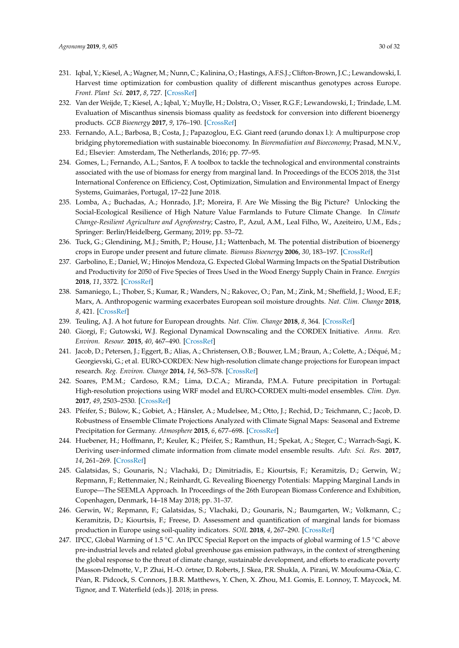- 231. Iqbal, Y.; Kiesel, A.; Wagner, M.; Nunn, C.; Kalinina, O.; Hastings, A.F.S.J.; Clifton-Brown, J.C.; Lewandowski, I. Harvest time optimization for combustion quality of different miscanthus genotypes across Europe. *Front. Plant Sci.* **2017**, *8*, 727. [CrossRef]
- 232. Van der Weijde, T.; Kiesel, A.; Iqbal, Y.; Muylle, H.; Dolstra, O.; Visser, R.G.F.; Lewandowski, I.; Trindade, L.M. Evaluation of Miscanthus sinensis biomass quality as feedstock for conversion into different bioenergy products. *GCB Bioenergy* **2017**, *9*, 176–190. [CrossRef]
- 233. Fernando, A.L.; Barbosa, B.; Costa, J.; Papazoglou, E.G. Giant reed (arundo donax l.): A multipurpose crop bridging phytoremediation with sustainable bioeconomy. In *Bioremediation and Bioeconomy*; Prasad, M.N.V., Ed.; Elsevier: Amsterdam, The Netherlands, 2016; pp. 77–95.
- 234. Gomes, L.; Fernando, A.L.; Santos, F. A toolbox to tackle the technological and environmental constraints associated with the use of biomass for energy from marginal land. In Proceedings of the ECOS 2018, the 31st International Conference on Efficiency, Cost, Optimization, Simulation and Environmental Impact of Energy Systems, Guimarães, Portugal, 17–22 June 2018.
- 235. Lomba, A.; Buchadas, A.; Honrado, J.P.; Moreira, F. Are We Missing the Big Picture? Unlocking the Social-Ecological Resilience of High Nature Value Farmlands to Future Climate Change. In *Climate Change-Resilient Agriculture and Agroforestry*; Castro, P., Azul, A.M., Leal Filho, W., Azeiteiro, U.M., Eds.; Springer: Berlin/Heidelberg, Germany, 2019; pp. 53–72.
- 236. Tuck, G.; Glendining, M.J.; Smith, P.; House, J.I.; Wattenbach, M. The potential distribution of bioenergy crops in Europe under present and future climate. *Biomass Bioenergy* **2006**, *30*, 183–197. [CrossRef]
- 237. Garbolino, E.; Daniel, W.; Hinojos Mendoza, G. Expected Global Warming Impacts on the Spatial Distribution and Productivity for 2050 of Five Species of Trees Used in the Wood Energy Supply Chain in France. *Energies* **2018**, *11*, 3372. [CrossRef]
- 238. Samaniego, L.; Thober, S.; Kumar, R.; Wanders, N.; Rakovec, O.; Pan, M.; Zink, M.; Sheffield, J.; Wood, E.F.; Marx, A. Anthropogenic warming exacerbates European soil moisture droughts. *Nat. Clim. Change* **2018**, *8*, 421. [CrossRef]
- 239. Teuling, A.J. A hot future for European droughts. *Nat. Clim. Change* **2018**, *8*, 364. [CrossRef]
- 240. Giorgi, F.; Gutowski, W.J. Regional Dynamical Downscaling and the CORDEX Initiative. *Annu. Rev. Environ. Resour.* **2015**, *40*, 467–490. [CrossRef]
- 241. Jacob, D.; Petersen, J.; Eggert, B.; Alias, A.; Christensen, O.B.; Bouwer, L.M.; Braun, A.; Colette, A.; Déqué, M.; Georgievski, G.; et al. EURO-CORDEX: New high-resolution climate change projections for European impact research. *Reg. Environ. Change* **2014**, *14*, 563–578. [CrossRef]
- 242. Soares, P.M.M.; Cardoso, R.M.; Lima, D.C.A.; Miranda, P.M.A. Future precipitation in Portugal: High-resolution projections using WRF model and EURO-CORDEX multi-model ensembles. *Clim. Dyn.* **2017**, *49*, 2503–2530. [CrossRef]
- 243. Pfeifer, S.; Bülow, K.; Gobiet, A.; Hänsler, A.; Mudelsee, M.; Otto, J.; Rechid, D.; Teichmann, C.; Jacob, D. Robustness of Ensemble Climate Projections Analyzed with Climate Signal Maps: Seasonal and Extreme Precipitation for Germany. *Atmosphere* **2015**, *6*, 677–698. [CrossRef]
- 244. Huebener, H.; Hoffmann, P.; Keuler, K.; Pfeifer, S.; Ramthun, H.; Spekat, A.; Steger, C.; Warrach-Sagi, K. Deriving user-informed climate information from climate model ensemble results. *Adv. Sci. Res.* **2017**, *14*, 261–269. [CrossRef]
- 245. Galatsidas, S.; Gounaris, N.; Vlachaki, D.; Dimitriadis, E.; Kiourtsis, F.; Keramitzis, D.; Gerwin, W.; Repmann, F.; Rettenmaier, N.; Reinhardt, G. Revealing Bioenergy Potentials: Mapping Marginal Lands in Europe—The SEEMLA Approach. In Proceedings of the 26th European Biomass Conference and Exhibition, Copenhagen, Denmark, 14–18 May 2018; pp. 31–37.
- 246. Gerwin, W.; Repmann, F.; Galatsidas, S.; Vlachaki, D.; Gounaris, N.; Baumgarten, W.; Volkmann, C.; Keramitzis, D.; Kiourtsis, F.; Freese, D. Assessment and quantification of marginal lands for biomass production in Europe using soil-quality indicators. *SOIL* **2018**, *4*, 267–290. [CrossRef]
- 247. IPCC, Global Warming of 1.5 ◦C. An IPCC Special Report on the impacts of global warming of 1.5 ◦C above pre-industrial levels and related global greenhouse gas emission pathways, in the context of strengthening the global response to the threat of climate change, sustainable development, and efforts to eradicate poverty [Masson-Delmotte, V., P. Zhai, H.-O. örtner, D. Roberts, J. Skea, P.R. Shukla, A. Pirani, W. Moufouma-Okia, C. Péan, R. Pidcock, S. Connors, J.B.R. Matthews, Y. Chen, X. Zhou, M.I. Gomis, E. Lonnoy, T. Maycock, M. Tignor, and T. Waterfield (eds.)]. 2018; in press.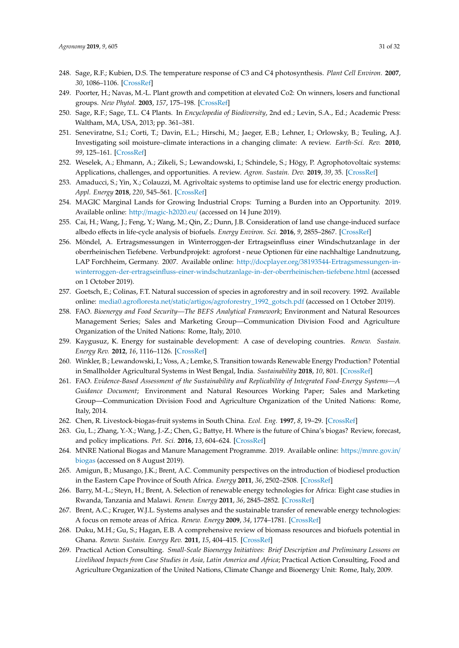- 248. Sage, R.F.; Kubien, D.S. The temperature response of C3 and C4 photosynthesis. *Plant Cell Environ.* **2007**, *30*, 1086–1106. [CrossRef]
- 249. Poorter, H.; Navas, M.-L. Plant growth and competition at elevated Co2: On winners, losers and functional groups. *New Phytol.* **2003**, *157*, 175–198. [CrossRef]
- 250. Sage, R.F.; Sage, T.L. C4 Plants. In *Encyclopedia of Biodiversity*, 2nd ed.; Levin, S.A., Ed.; Academic Press: Waltham, MA, USA, 2013; pp. 361–381.
- 251. Seneviratne, S.I.; Corti, T.; Davin, E.L.; Hirschi, M.; Jaeger, E.B.; Lehner, I.; Orlowsky, B.; Teuling, A.J. Investigating soil moisture–climate interactions in a changing climate: A review. *Earth-Sci. Rev.* **2010**, *99*, 125–161. [CrossRef]
- 252. Weselek, A.; Ehmann, A.; Zikeli, S.; Lewandowski, I.; Schindele, S.; Högy, P. Agrophotovoltaic systems: Applications, challenges, and opportunities. A review. *Agron. Sustain. Dev.* **2019**, *39*, 35. [CrossRef]
- 253. Amaducci, S.; Yin, X.; Colauzzi, M. Agrivoltaic systems to optimise land use for electric energy production. *Appl. Energy* **2018**, *220*, 545–561. [CrossRef]
- 254. MAGIC Marginal Lands for Growing Industrial Crops: Turning a Burden into an Opportunity. 2019. Available online: http://magic-h2020.eu/ (accessed on 14 June 2019).
- 255. Cai, H.; Wang, J.; Feng, Y.; Wang, M.; Qin, Z.; Dunn, J.B. Consideration of land use change-induced surface albedo effects in life-cycle analysis of biofuels. *Energy Environ. Sci.* **2016**, *9*, 2855–2867. [CrossRef]
- 256. Möndel, A. Ertragsmessungen in Winterroggen-der Ertragseinfluss einer Windschutzanlage in der oberrheinischen Tiefebene. Verbundprojekt: agroforst - neue Optionen für eine nachhaltige Landnutzung, LAP Forchheim, Germany. 2007. Available online: http://docplayer.org/38193544-Ertragsmessungen-inwinterroggen-der-ertragseinfluss-einer-windschutzanlage-in-der-oberrheinischen-tiefebene.html (accessed on 1 October 2019).
- 257. Goetsch, E.; Colinas, F.T. Natural succession of species in agroforestry and in soil recovery. 1992. Available online: media0.agrofloresta.net/static/artigos/agroforestry\_1992\_gotsch.pdf (accessed on 1 October 2019).
- 258. FAO. *Bioenergy and Food Security—The BEFS Analytical Framework*; Environment and Natural Resources Management Series; Sales and Marketing Group—Communication Division Food and Agriculture Organization of the United Nations: Rome, Italy, 2010.
- 259. Kaygusuz, K. Energy for sustainable development: A case of developing countries. *Renew. Sustain. Energy Rev.* **2012**, *16*, 1116–1126. [CrossRef]
- 260. Winkler, B.; Lewandowski, I.; Voss, A.; Lemke, S. Transition towards Renewable Energy Production? Potential in Smallholder Agricultural Systems in West Bengal, India. *Sustainability* **2018**, *10*, 801. [CrossRef]
- 261. FAO. *Evidence-Based Assessment of the Sustainability and Replicability of Integrated Food-Energy Systems—A Guidance Document*; Environment and Natural Resources Working Paper; Sales and Marketing Group—Communication Division Food and Agriculture Organization of the United Nations: Rome, Italy, 2014.
- 262. Chen, R. Livestock-biogas-fruit systems in South China. *Ecol. Eng.* **1997**, *8*, 19–29. [CrossRef]
- 263. Gu, L.; Zhang, Y.-X.; Wang, J.-Z.; Chen, G.; Battye, H. Where is the future of China's biogas? Review, forecast, and policy implications. *Pet. Sci.* **2016**, *13*, 604–624. [CrossRef]
- 264. MNRE National Biogas and Manure Management Programme. 2019. Available online: https://mnre.gov.in/ biogas (accessed on 8 August 2019).
- 265. Amigun, B.; Musango, J.K.; Brent, A.C. Community perspectives on the introduction of biodiesel production in the Eastern Cape Province of South Africa. *Energy* **2011**, *36*, 2502–2508. [CrossRef]
- 266. Barry, M.-L.; Steyn, H.; Brent, A. Selection of renewable energy technologies for Africa: Eight case studies in Rwanda, Tanzania and Malawi. *Renew. Energy* **2011**, *36*, 2845–2852. [CrossRef]
- 267. Brent, A.C.; Kruger, W.J.L. Systems analyses and the sustainable transfer of renewable energy technologies: A focus on remote areas of Africa. *Renew. Energy* **2009**, *34*, 1774–1781. [CrossRef]
- 268. Duku, M.H.; Gu, S.; Hagan, E.B. A comprehensive review of biomass resources and biofuels potential in Ghana. *Renew. Sustain. Energy Rev.* **2011**, *15*, 404–415. [CrossRef]
- 269. Practical Action Consulting. *Small-Scale Bioenergy Initiatives: Brief Description and Preliminary Lessons on Livelihood Impacts from Case Studies in Asia, Latin America and Africa*; Practical Action Consulting, Food and Agriculture Organization of the United Nations, Climate Change and Bioenergy Unit: Rome, Italy, 2009.